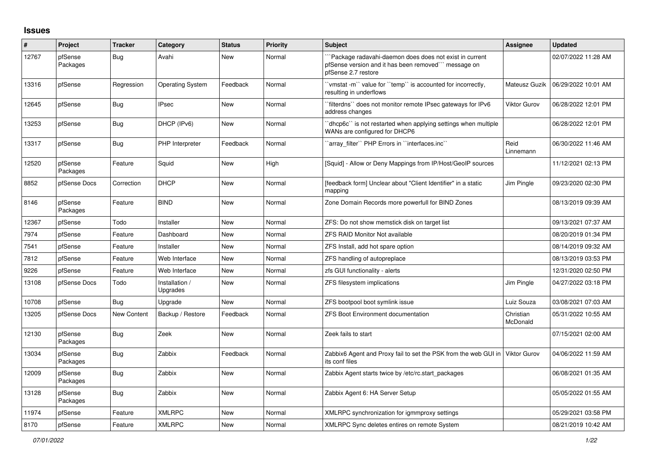## **Issues**

| #     | Project             | <b>Tracker</b> | Category                   | <b>Status</b> | Priority | <b>Subject</b>                                                                                                                       | <b>Assignee</b>       | <b>Updated</b>      |
|-------|---------------------|----------------|----------------------------|---------------|----------|--------------------------------------------------------------------------------------------------------------------------------------|-----------------------|---------------------|
| 12767 | pfSense<br>Packages | Bug            | Avahi                      | <b>New</b>    | Normal   | Package radavahi-daemon does does not exist in current<br>pfSense version and it has been removed" message on<br>pfSense 2.7 restore |                       | 02/07/2022 11:28 AM |
| 13316 | pfSense             | Regression     | <b>Operating System</b>    | Feedback      | Normal   | 'vmstat -m'` value for ''temp'' is accounted for incorrectly,<br>resulting in underflows                                             | Mateusz Guzik         | 06/29/2022 10:01 AM |
| 12645 | pfSense             | <b>Bug</b>     | <b>IPsec</b>               | <b>New</b>    | Normal   | `filterdns`` does not monitor remote IPsec gateways for IPv6<br>address changes                                                      | Viktor Gurov          | 06/28/2022 12:01 PM |
| 13253 | pfSense             | Bug            | DHCP (IPv6)                | <b>New</b>    | Normal   | dhcp6c" is not restarted when applying settings when multiple<br>WANs are configured for DHCP6                                       |                       | 06/28/2022 12:01 PM |
| 13317 | pfSense             | <b>Bug</b>     | PHP Interpreter            | Feedback      | Normal   | 'array filter'' PHP Errors in ''interfaces.inc''                                                                                     | Reid<br>Linnemann     | 06/30/2022 11:46 AM |
| 12520 | pfSense<br>Packages | Feature        | Squid                      | <b>New</b>    | High     | [Squid] - Allow or Deny Mappings from IP/Host/GeoIP sources                                                                          |                       | 11/12/2021 02:13 PM |
| 8852  | pfSense Docs        | Correction     | <b>DHCP</b>                | <b>New</b>    | Normal   | [feedback form] Unclear about "Client Identifier" in a static<br>mapping                                                             | Jim Pingle            | 09/23/2020 02:30 PM |
| 8146  | pfSense<br>Packages | Feature        | <b>BIND</b>                | <b>New</b>    | Normal   | Zone Domain Records more powerfull for BIND Zones                                                                                    |                       | 08/13/2019 09:39 AM |
| 12367 | pfSense             | Todo           | Installer                  | New           | Normal   | ZFS: Do not show memstick disk on target list                                                                                        |                       | 09/13/2021 07:37 AM |
| 7974  | pfSense             | Feature        | Dashboard                  | <b>New</b>    | Normal   | <b>ZFS RAID Monitor Not available</b>                                                                                                |                       | 08/20/2019 01:34 PM |
| 7541  | pfSense             | Feature        | Installer                  | <b>New</b>    | Normal   | ZFS Install, add hot spare option                                                                                                    |                       | 08/14/2019 09:32 AM |
| 7812  | pfSense             | Feature        | Web Interface              | <b>New</b>    | Normal   | ZFS handling of autopreplace                                                                                                         |                       | 08/13/2019 03:53 PM |
| 9226  | pfSense             | Feature        | Web Interface              | <b>New</b>    | Normal   | zfs GUI functionality - alerts                                                                                                       |                       | 12/31/2020 02:50 PM |
| 13108 | pfSense Docs        | Todo           | Installation /<br>Upgrades | <b>New</b>    | Normal   | ZFS filesystem implications                                                                                                          | Jim Pingle            | 04/27/2022 03:18 PM |
| 10708 | pfSense             | Bug            | Upgrade                    | <b>New</b>    | Normal   | ZFS bootpool boot symlink issue                                                                                                      | Luiz Souza            | 03/08/2021 07:03 AM |
| 13205 | pfSense Docs        | New Content    | Backup / Restore           | Feedback      | Normal   | <b>ZFS Boot Environment documentation</b>                                                                                            | Christian<br>McDonald | 05/31/2022 10:55 AM |
| 12130 | pfSense<br>Packages | <b>Bug</b>     | Zeek                       | <b>New</b>    | Normal   | Zeek fails to start                                                                                                                  |                       | 07/15/2021 02:00 AM |
| 13034 | pfSense<br>Packages | <b>Bug</b>     | Zabbix                     | Feedback      | Normal   | Zabbix6 Agent and Proxy fail to set the PSK from the web GUI in<br>its conf files                                                    | Viktor Gurov          | 04/06/2022 11:59 AM |
| 12009 | pfSense<br>Packages | Bug            | Zabbix                     | New           | Normal   | Zabbix Agent starts twice by /etc/rc.start packages                                                                                  |                       | 06/08/2021 01:35 AM |
| 13128 | pfSense<br>Packages | <b>Bug</b>     | Zabbix                     | <b>New</b>    | Normal   | Zabbix Agent 6: HA Server Setup                                                                                                      |                       | 05/05/2022 01:55 AM |
| 11974 | pfSense             | Feature        | <b>XMLRPC</b>              | <b>New</b>    | Normal   | XMLRPC synchronization for igmmproxy settings                                                                                        |                       | 05/29/2021 03:58 PM |
| 8170  | pfSense             | Feature        | <b>XMLRPC</b>              | New           | Normal   | XMLRPC Sync deletes entires on remote System                                                                                         |                       | 08/21/2019 10:42 AM |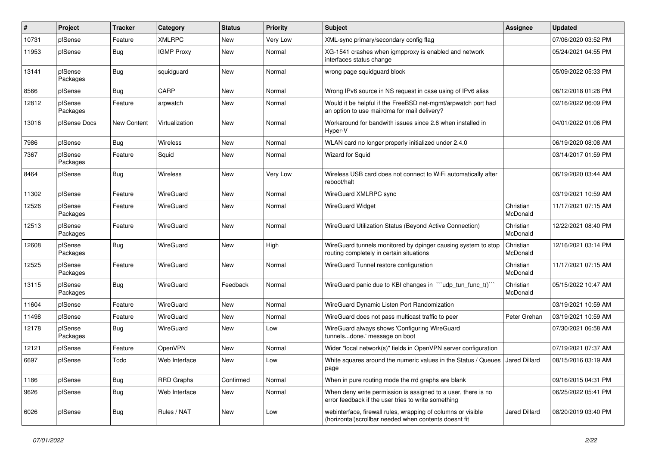| #     | Project             | <b>Tracker</b>     | Category          | <b>Status</b> | Priority | <b>Subject</b>                                                                                                         | <b>Assignee</b>       | <b>Updated</b>      |
|-------|---------------------|--------------------|-------------------|---------------|----------|------------------------------------------------------------------------------------------------------------------------|-----------------------|---------------------|
| 10731 | pfSense             | Feature            | <b>XMLRPC</b>     | New           | Very Low | XML-sync primary/secondary config flag                                                                                 |                       | 07/06/2020 03:52 PM |
| 11953 | pfSense             | Bug                | <b>IGMP Proxy</b> | New           | Normal   | XG-1541 crashes when igmpproxy is enabled and network<br>interfaces status change                                      |                       | 05/24/2021 04:55 PM |
| 13141 | pfSense<br>Packages | Bug                | squidguard        | New           | Normal   | wrong page squidguard block                                                                                            |                       | 05/09/2022 05:33 PM |
| 8566  | pfSense             | <b>Bug</b>         | CARP              | New           | Normal   | Wrong IPv6 source in NS request in case using of IPv6 alias                                                            |                       | 06/12/2018 01:26 PM |
| 12812 | pfSense<br>Packages | Feature            | arpwatch          | New           | Normal   | Would it be helpful if the FreeBSD net-mgmt/arpwatch port had<br>an option to use mail/dma for mail delivery?          |                       | 02/16/2022 06:09 PM |
| 13016 | pfSense Docs        | <b>New Content</b> | Virtualization    | New           | Normal   | Workaround for bandwith issues since 2.6 when installed in<br>Hyper-V                                                  |                       | 04/01/2022 01:06 PM |
| 7986  | pfSense             | Bug                | Wireless          | New           | Normal   | WLAN card no longer properly initialized under 2.4.0                                                                   |                       | 06/19/2020 08:08 AM |
| 7367  | pfSense<br>Packages | Feature            | Squid             | New           | Normal   | <b>Wizard for Squid</b>                                                                                                |                       | 03/14/2017 01:59 PM |
| 8464  | pfSense             | <b>Bug</b>         | Wireless          | New           | Very Low | Wireless USB card does not connect to WiFi automatically after<br>reboot/halt                                          |                       | 06/19/2020 03:44 AM |
| 11302 | pfSense             | Feature            | WireGuard         | New           | Normal   | WireGuard XMLRPC sync                                                                                                  |                       | 03/19/2021 10:59 AM |
| 12526 | pfSense<br>Packages | Feature            | WireGuard         | New           | Normal   | <b>WireGuard Widget</b>                                                                                                | Christian<br>McDonald | 11/17/2021 07:15 AM |
| 12513 | pfSense<br>Packages | Feature            | WireGuard         | <b>New</b>    | Normal   | WireGuard Utilization Status (Beyond Active Connection)                                                                | Christian<br>McDonald | 12/22/2021 08:40 PM |
| 12608 | pfSense<br>Packages | Bug                | WireGuard         | <b>New</b>    | High     | WireGuard tunnels monitored by dpinger causing system to stop<br>routing completely in certain situations              | Christian<br>McDonald | 12/16/2021 03:14 PM |
| 12525 | pfSense<br>Packages | Feature            | WireGuard         | <b>New</b>    | Normal   | WireGuard Tunnel restore configuration                                                                                 | Christian<br>McDonald | 11/17/2021 07:15 AM |
| 13115 | pfSense<br>Packages | Bug                | WireGuard         | Feedback      | Normal   | WireGuard panic due to KBI changes in "'udp_tun_func_t()"                                                              | Christian<br>McDonald | 05/15/2022 10:47 AM |
| 11604 | pfSense             | Feature            | WireGuard         | New           | Normal   | WireGuard Dynamic Listen Port Randomization                                                                            |                       | 03/19/2021 10:59 AM |
| 11498 | pfSense             | Feature            | WireGuard         | New           | Normal   | WireGuard does not pass multicast traffic to peer                                                                      | Peter Grehan          | 03/19/2021 10:59 AM |
| 12178 | pfSense<br>Packages | Bug                | WireGuard         | New           | Low      | WireGuard always shows 'Configuring WireGuard<br>tunnelsdone.' message on boot                                         |                       | 07/30/2021 06:58 AM |
| 12121 | pfSense             | Feature            | OpenVPN           | New           | Normal   | Wider "local network(s)" fields in OpenVPN server configuration                                                        |                       | 07/19/2021 07:37 AM |
| 6697  | pfSense             | Todo               | Web Interface     | New           | Low      | White squares around the numeric values in the Status / Queues   Jared Dillard<br>page                                 |                       | 08/15/2016 03:19 AM |
| 1186  | pfSense             | <b>Bug</b>         | <b>RRD Graphs</b> | Confirmed     | Normal   | When in pure routing mode the rrd graphs are blank                                                                     |                       | 09/16/2015 04:31 PM |
| 9626  | pfSense             | Bug                | Web Interface     | <b>New</b>    | Normal   | When deny write permission is assigned to a user, there is no<br>error feedback if the user tries to write something   |                       | 06/25/2022 05:41 PM |
| 6026  | pfSense             | Bug                | Rules / NAT       | New           | Low      | webinterface, firewall rules, wrapping of columns or visible<br>(horizontal) scrollbar needed when contents doesnt fit | <b>Jared Dillard</b>  | 08/20/2019 03:40 PM |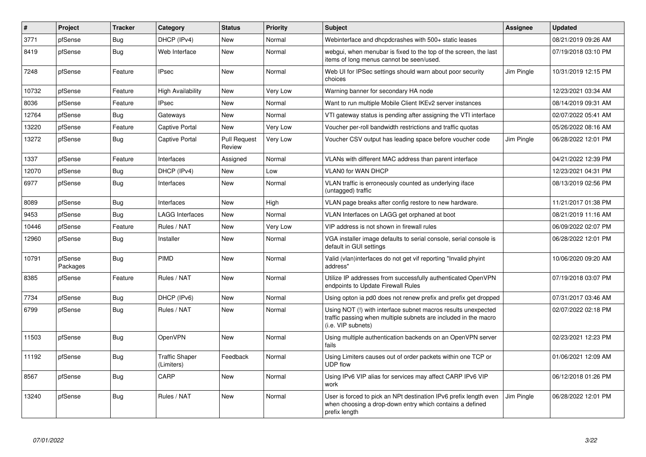| $\vert$ # | Project             | <b>Tracker</b> | Category                            | <b>Status</b>                 | <b>Priority</b> | <b>Subject</b>                                                                                                                                         | Assignee   | <b>Updated</b>      |
|-----------|---------------------|----------------|-------------------------------------|-------------------------------|-----------------|--------------------------------------------------------------------------------------------------------------------------------------------------------|------------|---------------------|
| 3771      | pfSense             | Bug            | DHCP (IPv4)                         | <b>New</b>                    | Normal          | Webinterface and dhcpdcrashes with 500+ static leases                                                                                                  |            | 08/21/2019 09:26 AM |
| 8419      | pfSense             | <b>Bug</b>     | Web Interface                       | <b>New</b>                    | Normal          | webgui, when menubar is fixed to the top of the screen, the last<br>items of long menus cannot be seen/used.                                           |            | 07/19/2018 03:10 PM |
| 7248      | pfSense             | Feature        | <b>IPsec</b>                        | <b>New</b>                    | Normal          | Web UI for IPSec settings should warn about poor security<br>choices                                                                                   | Jim Pingle | 10/31/2019 12:15 PM |
| 10732     | pfSense             | Feature        | High Availability                   | New                           | Very Low        | Warning banner for secondary HA node                                                                                                                   |            | 12/23/2021 03:34 AM |
| 8036      | pfSense             | Feature        | <b>IPsec</b>                        | <b>New</b>                    | Normal          | Want to run multiple Mobile Client IKEv2 server instances                                                                                              |            | 08/14/2019 09:31 AM |
| 12764     | pfSense             | Bug            | Gateways                            | <b>New</b>                    | Normal          | VTI gateway status is pending after assigning the VTI interface                                                                                        |            | 02/07/2022 05:41 AM |
| 13220     | pfSense             | Feature        | Captive Portal                      | <b>New</b>                    | Very Low        | Voucher per-roll bandwidth restrictions and traffic quotas                                                                                             |            | 05/26/2022 08:16 AM |
| 13272     | pfSense             | <b>Bug</b>     | Captive Portal                      | <b>Pull Request</b><br>Review | Very Low        | Voucher CSV output has leading space before voucher code                                                                                               | Jim Pingle | 06/28/2022 12:01 PM |
| 1337      | pfSense             | Feature        | Interfaces                          | Assigned                      | Normal          | VLANs with different MAC address than parent interface                                                                                                 |            | 04/21/2022 12:39 PM |
| 12070     | pfSense             | Bug            | DHCP (IPv4)                         | <b>New</b>                    | Low             | <b>VLANO for WAN DHCP</b>                                                                                                                              |            | 12/23/2021 04:31 PM |
| 6977      | pfSense             | <b>Bug</b>     | Interfaces                          | <b>New</b>                    | Normal          | VLAN traffic is erroneously counted as underlying iface<br>(untagged) traffic                                                                          |            | 08/13/2019 02:56 PM |
| 8089      | pfSense             | Bug            | Interfaces                          | <b>New</b>                    | High            | VLAN page breaks after config restore to new hardware.                                                                                                 |            | 11/21/2017 01:38 PM |
| 9453      | pfSense             | Bug            | <b>LAGG Interfaces</b>              | <b>New</b>                    | Normal          | VLAN Interfaces on LAGG get orphaned at boot                                                                                                           |            | 08/21/2019 11:16 AM |
| 10446     | pfSense             | Feature        | Rules / NAT                         | <b>New</b>                    | Very Low        | VIP address is not shown in firewall rules                                                                                                             |            | 06/09/2022 02:07 PM |
| 12960     | pfSense             | <b>Bug</b>     | Installer                           | <b>New</b>                    | Normal          | VGA installer image defaults to serial console, serial console is<br>default in GUI settings                                                           |            | 06/28/2022 12:01 PM |
| 10791     | pfSense<br>Packages | <b>Bug</b>     | PIMD                                | <b>New</b>                    | Normal          | Valid (vlan)interfaces do not get vif reporting "Invalid phyint<br>address"                                                                            |            | 10/06/2020 09:20 AM |
| 8385      | pfSense             | Feature        | Rules / NAT                         | <b>New</b>                    | Normal          | Utilize IP addresses from successfully authenticated OpenVPN<br>endpoints to Update Firewall Rules                                                     |            | 07/19/2018 03:07 PM |
| 7734      | pfSense             | <b>Bug</b>     | DHCP (IPv6)                         | <b>New</b>                    | Normal          | Using opton ia pd0 does not renew prefix and prefix get dropped                                                                                        |            | 07/31/2017 03:46 AM |
| 6799      | pfSense             | <b>Bug</b>     | Rules / NAT                         | <b>New</b>                    | Normal          | Using NOT (!) with interface subnet macros results unexpected<br>traffic passing when multiple subnets are included in the macro<br>(i.e. VIP subnets) |            | 02/07/2022 02:18 PM |
| 11503     | pfSense             | Bug            | OpenVPN                             | <b>New</b>                    | Normal          | Using multiple authentication backends on an OpenVPN server<br>fails                                                                                   |            | 02/23/2021 12:23 PM |
| 11192     | pfSense             | <b>Bug</b>     | <b>Traffic Shaper</b><br>(Limiters) | Feedback                      | Normal          | Using Limiters causes out of order packets within one TCP or<br><b>UDP flow</b>                                                                        |            | 01/06/2021 12:09 AM |
| 8567      | pfSense             | <b>Bug</b>     | CARP                                | <b>New</b>                    | Normal          | Using IPv6 VIP alias for services may affect CARP IPv6 VIP<br>work                                                                                     |            | 06/12/2018 01:26 PM |
| 13240     | pfSense             | Bug            | Rules / NAT                         | <b>New</b>                    | Normal          | User is forced to pick an NPt destination IPv6 prefix length even<br>when choosing a drop-down entry which contains a defined<br>prefix length         | Jim Pingle | 06/28/2022 12:01 PM |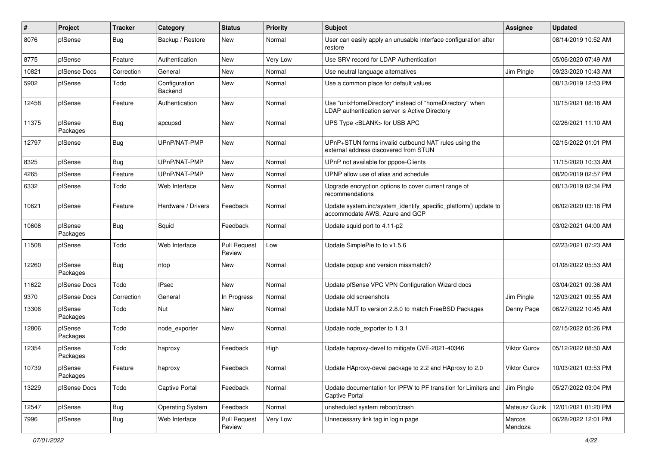| $\#$  | Project             | <b>Tracker</b> | Category                 | <b>Status</b>                 | <b>Priority</b> | <b>Subject</b>                                                                                            | <b>Assignee</b>   | <b>Updated</b>      |
|-------|---------------------|----------------|--------------------------|-------------------------------|-----------------|-----------------------------------------------------------------------------------------------------------|-------------------|---------------------|
| 8076  | pfSense             | Bug            | Backup / Restore         | New                           | Normal          | User can easily apply an unusable interface configuration after<br>restore                                |                   | 08/14/2019 10:52 AM |
| 8775  | pfSense             | Feature        | Authentication           | New                           | Very Low        | Use SRV record for LDAP Authentication                                                                    |                   | 05/06/2020 07:49 AM |
| 10821 | pfSense Docs        | Correction     | General                  | New                           | Normal          | Use neutral language alternatives                                                                         | Jim Pingle        | 09/23/2020 10:43 AM |
| 5902  | pfSense             | Todo           | Configuration<br>Backend | New                           | Normal          | Use a common place for default values                                                                     |                   | 08/13/2019 12:53 PM |
| 12458 | pfSense             | Feature        | Authentication           | New                           | Normal          | Use "unixHomeDirectory" instead of "homeDirectory" when<br>LDAP authentication server is Active Directory |                   | 10/15/2021 08:18 AM |
| 11375 | pfSense<br>Packages | Bug            | apcupsd                  | New                           | Normal          | UPS Type <blank> for USB APC</blank>                                                                      |                   | 02/26/2021 11:10 AM |
| 12797 | pfSense             | Bug            | UPnP/NAT-PMP             | New                           | Normal          | UPnP+STUN forms invalid outbound NAT rules using the<br>external address discovered from STUN             |                   | 02/15/2022 01:01 PM |
| 8325  | pfSense             | Bug            | UPnP/NAT-PMP             | <b>New</b>                    | Normal          | UPnP not available for pppoe-Clients                                                                      |                   | 11/15/2020 10:33 AM |
| 4265  | pfSense             | Feature        | UPnP/NAT-PMP             | New                           | Normal          | UPNP allow use of alias and schedule                                                                      |                   | 08/20/2019 02:57 PM |
| 6332  | pfSense             | Todo           | Web Interface            | New                           | Normal          | Upgrade encryption options to cover current range of<br>recommendations                                   |                   | 08/13/2019 02:34 PM |
| 10621 | pfSense             | Feature        | Hardware / Drivers       | Feedback                      | Normal          | Update system.inc/system_identify_specific_platform() update to<br>accommodate AWS, Azure and GCP         |                   | 06/02/2020 03:16 PM |
| 10608 | pfSense<br>Packages | Bug            | Squid                    | Feedback                      | Normal          | Update squid port to 4.11-p2                                                                              |                   | 03/02/2021 04:00 AM |
| 11508 | pfSense             | Todo           | Web Interface            | <b>Pull Request</b><br>Review | Low             | Update SimplePie to to v1.5.6                                                                             |                   | 02/23/2021 07:23 AM |
| 12260 | pfSense<br>Packages | Bug            | ntop                     | New                           | Normal          | Update popup and version missmatch?                                                                       |                   | 01/08/2022 05:53 AM |
| 11622 | pfSense Docs        | Todo           | <b>IPsec</b>             | New                           | Normal          | Update pfSense VPC VPN Configuration Wizard docs                                                          |                   | 03/04/2021 09:36 AM |
| 9370  | pfSense Docs        | Correction     | General                  | In Progress                   | Normal          | Update old screenshots                                                                                    | Jim Pingle        | 12/03/2021 09:55 AM |
| 13306 | pfSense<br>Packages | Todo           | Nut                      | <b>New</b>                    | Normal          | Update NUT to version 2.8.0 to match FreeBSD Packages                                                     | Denny Page        | 06/27/2022 10:45 AM |
| 12806 | pfSense<br>Packages | Todo           | node exporter            | New                           | Normal          | Update node_exporter to 1.3.1                                                                             |                   | 02/15/2022 05:26 PM |
| 12354 | pfSense<br>Packages | Todo           | haproxy                  | Feedback                      | High            | Update haproxy-devel to mitigate CVE-2021-40346                                                           | Viktor Gurov      | 05/12/2022 08:50 AM |
| 10739 | pfSense<br>Packages | Feature        | haproxy                  | Feedback                      | Normal          | Update HAproxy-devel package to 2.2 and HAproxy to 2.0                                                    | Viktor Gurov      | 10/03/2021 03:53 PM |
| 13229 | pfSense Docs        | Todo           | Captive Portal           | Feedback                      | Normal          | Update documentation for IPFW to PF transition for Limiters and<br>Captive Portal                         | Jim Pingle        | 05/27/2022 03:04 PM |
| 12547 | pfSense             | Bug            | <b>Operating System</b>  | Feedback                      | Normal          | unsheduled system reboot/crash                                                                            | Mateusz Guzik     | 12/01/2021 01:20 PM |
| 7996  | pfSense             | Bug            | Web Interface            | <b>Pull Request</b><br>Review | Very Low        | Unnecessary link tag in login page                                                                        | Marcos<br>Mendoza | 06/28/2022 12:01 PM |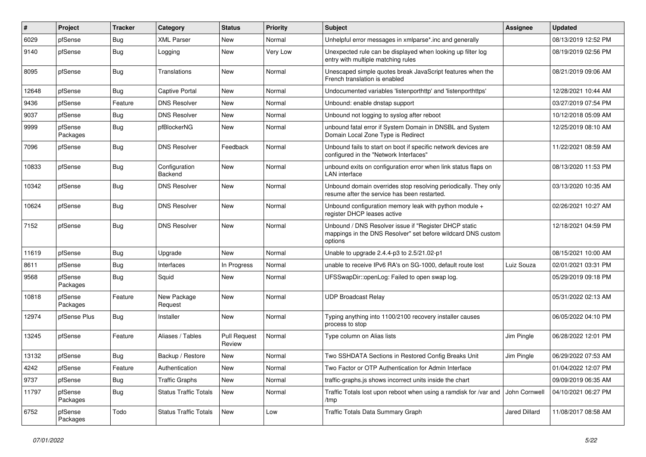| $\vert$ # | Project             | <b>Tracker</b> | Category                     | <b>Status</b>                 | Priority | <b>Subject</b>                                                                                                                   | <b>Assignee</b> | <b>Updated</b>      |
|-----------|---------------------|----------------|------------------------------|-------------------------------|----------|----------------------------------------------------------------------------------------------------------------------------------|-----------------|---------------------|
| 6029      | pfSense             | <b>Bug</b>     | <b>XML Parser</b>            | New                           | Normal   | Unhelpful error messages in xmlparse*.inc and generally                                                                          |                 | 08/13/2019 12:52 PM |
| 9140      | pfSense             | Bug            | Logging                      | New                           | Very Low | Unexpected rule can be displayed when looking up filter log<br>entry with multiple matching rules                                |                 | 08/19/2019 02:56 PM |
| 8095      | pfSense             | <b>Bug</b>     | Translations                 | <b>New</b>                    | Normal   | Unescaped simple quotes break JavaScript features when the<br>French translation is enabled                                      |                 | 08/21/2019 09:06 AM |
| 12648     | pfSense             | Bug            | <b>Captive Portal</b>        | New                           | Normal   | Undocumented variables 'listenporthttp' and 'listenporthttps'                                                                    |                 | 12/28/2021 10:44 AM |
| 9436      | pfSense             | Feature        | <b>DNS Resolver</b>          | New                           | Normal   | Unbound: enable dnstap support                                                                                                   |                 | 03/27/2019 07:54 PM |
| 9037      | pfSense             | Bug            | <b>DNS Resolver</b>          | <b>New</b>                    | Normal   | Unbound not logging to syslog after reboot                                                                                       |                 | 10/12/2018 05:09 AM |
| 9999      | pfSense<br>Packages | <b>Bug</b>     | pfBlockerNG                  | New                           | Normal   | unbound fatal error if System Domain in DNSBL and System<br>Domain Local Zone Type is Redirect                                   |                 | 12/25/2019 08:10 AM |
| 7096      | pfSense             | <b>Bug</b>     | <b>DNS Resolver</b>          | Feedback                      | Normal   | Unbound fails to start on boot if specific network devices are<br>configured in the "Network Interfaces"                         |                 | 11/22/2021 08:59 AM |
| 10833     | pfSense             | Bug            | Configuration<br>Backend     | <b>New</b>                    | Normal   | unbound exits on configuration error when link status flaps on<br>LAN interface                                                  |                 | 08/13/2020 11:53 PM |
| 10342     | pfSense             | Bug            | <b>DNS Resolver</b>          | <b>New</b>                    | Normal   | Unbound domain overrides stop resolving periodically. They only<br>resume after the service has been restarted.                  |                 | 03/13/2020 10:35 AM |
| 10624     | pfSense             | Bug            | <b>DNS Resolver</b>          | <b>New</b>                    | Normal   | Unbound configuration memory leak with python module +<br>register DHCP leases active                                            |                 | 02/26/2021 10:27 AM |
| 7152      | pfSense             | <b>Bug</b>     | <b>DNS Resolver</b>          | <b>New</b>                    | Normal   | Unbound / DNS Resolver issue if "Register DHCP static<br>mappings in the DNS Resolver" set before wildcard DNS custom<br>options |                 | 12/18/2021 04:59 PM |
| 11619     | pfSense             | <b>Bug</b>     | Upgrade                      | <b>New</b>                    | Normal   | Unable to upgrade 2.4.4-p3 to 2.5/21.02-p1                                                                                       |                 | 08/15/2021 10:00 AM |
| 8611      | pfSense             | Bug            | Interfaces                   | In Progress                   | Normal   | unable to receive IPv6 RA's on SG-1000, default route lost                                                                       | Luiz Souza      | 02/01/2021 03:31 PM |
| 9568      | pfSense<br>Packages | <b>Bug</b>     | Squid                        | New                           | Normal   | UFSSwapDir::openLog: Failed to open swap log.                                                                                    |                 | 05/29/2019 09:18 PM |
| 10818     | pfSense<br>Packages | Feature        | New Package<br>Request       | <b>New</b>                    | Normal   | <b>UDP Broadcast Relay</b>                                                                                                       |                 | 05/31/2022 02:13 AM |
| 12974     | pfSense Plus        | <b>Bug</b>     | Installer                    | <b>New</b>                    | Normal   | Typing anything into 1100/2100 recovery installer causes<br>process to stop                                                      |                 | 06/05/2022 04:10 PM |
| 13245     | pfSense             | Feature        | Aliases / Tables             | <b>Pull Request</b><br>Review | Normal   | Type column on Alias lists                                                                                                       | Jim Pingle      | 06/28/2022 12:01 PM |
| 13132     | pfSense             | Bug            | Backup / Restore             | New                           | Normal   | Two SSHDATA Sections in Restored Config Breaks Unit                                                                              | Jim Pingle      | 06/29/2022 07:53 AM |
| 4242      | pfSense             | Feature        | Authentication               | New                           | Normal   | Two Factor or OTP Authentication for Admin Interface                                                                             |                 | 01/04/2022 12:07 PM |
| 9737      | pfSense             | <b>Bug</b>     | <b>Traffic Graphs</b>        | New                           | Normal   | traffic-graphs.js shows incorrect units inside the chart                                                                         |                 | 09/09/2019 06:35 AM |
| 11797     | pfSense<br>Packages | <b>Bug</b>     | <b>Status Traffic Totals</b> | New                           | Normal   | Traffic Totals lost upon reboot when using a ramdisk for /var and<br>/tmp                                                        | John Cornwell   | 04/10/2021 06:27 PM |
| 6752      | pfSense<br>Packages | Todo           | <b>Status Traffic Totals</b> | New                           | Low      | Traffic Totals Data Summary Graph                                                                                                | Jared Dillard   | 11/08/2017 08:58 AM |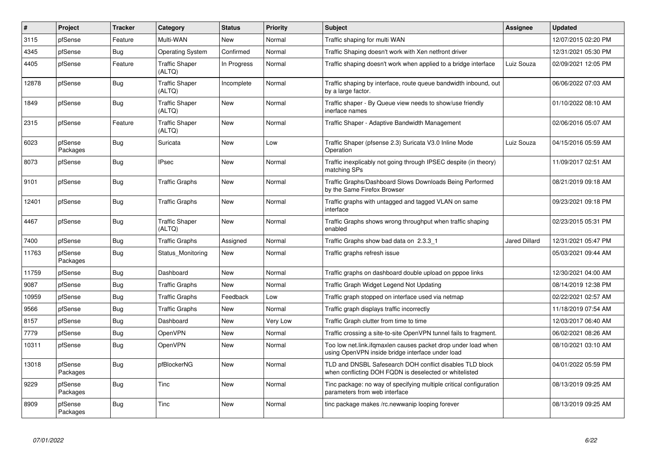| #     | Project             | <b>Tracker</b> | Category                        | <b>Status</b> | <b>Priority</b> | <b>Subject</b>                                                                                                     | Assignee      | <b>Updated</b>      |
|-------|---------------------|----------------|---------------------------------|---------------|-----------------|--------------------------------------------------------------------------------------------------------------------|---------------|---------------------|
| 3115  | pfSense             | Feature        | Multi-WAN                       | <b>New</b>    | Normal          | Traffic shaping for multi WAN                                                                                      |               | 12/07/2015 02:20 PM |
| 4345  | pfSense             | Bug            | <b>Operating System</b>         | Confirmed     | Normal          | Traffic Shaping doesn't work with Xen netfront driver                                                              |               | 12/31/2021 05:30 PM |
| 4405  | pfSense             | Feature        | <b>Traffic Shaper</b><br>(ALTQ) | In Progress   | Normal          | Traffic shaping doesn't work when applied to a bridge interface                                                    | Luiz Souza    | 02/09/2021 12:05 PM |
| 12878 | pfSense             | <b>Bug</b>     | <b>Traffic Shaper</b><br>(ALTQ) | Incomplete    | Normal          | Traffic shaping by interface, route queue bandwidth inbound, out<br>by a large factor.                             |               | 06/06/2022 07:03 AM |
| 1849  | pfSense             | <b>Bug</b>     | <b>Traffic Shaper</b><br>(ALTQ) | <b>New</b>    | Normal          | Traffic shaper - By Queue view needs to show/use friendly<br>inerface names                                        |               | 01/10/2022 08:10 AM |
| 2315  | pfSense             | Feature        | <b>Traffic Shaper</b><br>(ALTQ) | New           | Normal          | Traffic Shaper - Adaptive Bandwidth Management                                                                     |               | 02/06/2016 05:07 AM |
| 6023  | pfSense<br>Packages | Bug            | Suricata                        | <b>New</b>    | Low             | Traffic Shaper (pfsense 2.3) Suricata V3.0 Inline Mode<br>Operation                                                | Luiz Souza    | 04/15/2016 05:59 AM |
| 8073  | pfSense             | Bug            | <b>IPsec</b>                    | New           | Normal          | Traffic inexplicably not going through IPSEC despite (in theory)<br>matching SPs                                   |               | 11/09/2017 02:51 AM |
| 9101  | pfSense             | <b>Bug</b>     | <b>Traffic Graphs</b>           | <b>New</b>    | Normal          | Traffic Graphs/Dashboard Slows Downloads Being Performed<br>by the Same Firefox Browser                            |               | 08/21/2019 09:18 AM |
| 12401 | pfSense             | <b>Bug</b>     | <b>Traffic Graphs</b>           | <b>New</b>    | Normal          | Traffic graphs with untagged and tagged VLAN on same<br>interface                                                  |               | 09/23/2021 09:18 PM |
| 4467  | pfSense             | <b>Bug</b>     | <b>Traffic Shaper</b><br>(ALTQ) | <b>New</b>    | Normal          | Traffic Graphs shows wrong throughput when traffic shaping<br>enabled                                              |               | 02/23/2015 05:31 PM |
| 7400  | pfSense             | <b>Bug</b>     | <b>Traffic Graphs</b>           | Assigned      | Normal          | Traffic Graphs show bad data on 2.3.3 1                                                                            | Jared Dillard | 12/31/2021 05:47 PM |
| 11763 | pfSense<br>Packages | <b>Bug</b>     | Status Monitoring               | New           | Normal          | Traffic graphs refresh issue                                                                                       |               | 05/03/2021 09:44 AM |
| 11759 | pfSense             | Bug            | Dashboard                       | <b>New</b>    | Normal          | Traffic graphs on dashboard double upload on pppoe links                                                           |               | 12/30/2021 04:00 AM |
| 9087  | pfSense             | <b>Bug</b>     | <b>Traffic Graphs</b>           | <b>New</b>    | Normal          | Traffic Graph Widget Legend Not Updating                                                                           |               | 08/14/2019 12:38 PM |
| 10959 | pfSense             | Bug            | Traffic Graphs                  | Feedback      | Low             | Traffic graph stopped on interface used via netmap                                                                 |               | 02/22/2021 02:57 AM |
| 9566  | pfSense             | <b>Bug</b>     | <b>Traffic Graphs</b>           | New           | Normal          | Traffic graph displays traffic incorrectly                                                                         |               | 11/18/2019 07:54 AM |
| 8157  | pfSense             | Bug            | Dashboard                       | New           | Very Low        | Traffic Graph clutter from time to time                                                                            |               | 12/03/2017 06:40 AM |
| 7779  | pfSense             | <b>Bug</b>     | OpenVPN                         | New           | Normal          | Traffic crossing a site-to-site OpenVPN tunnel fails to fragment.                                                  |               | 06/02/2021 08:26 AM |
| 10311 | pfSense             | <b>Bug</b>     | OpenVPN                         | New           | Normal          | Too low net.link.ifgmaxlen causes packet drop under load when<br>using OpenVPN inside bridge interface under load  |               | 08/10/2021 03:10 AM |
| 13018 | pfSense<br>Packages | Bug            | pfBlockerNG                     | New           | Normal          | TLD and DNSBL Safesearch DOH conflict disables TLD block<br>when conflicting DOH FQDN is deselected or whitelisted |               | 04/01/2022 05:59 PM |
| 9229  | pfSense<br>Packages | Bug            | Tinc                            | New           | Normal          | Tinc package: no way of specifying multiple critical configuration<br>parameters from web interface                |               | 08/13/2019 09:25 AM |
| 8909  | pfSense<br>Packages | <b>Bug</b>     | Tinc                            | New           | Normal          | tinc package makes /rc.newwanip looping forever                                                                    |               | 08/13/2019 09:25 AM |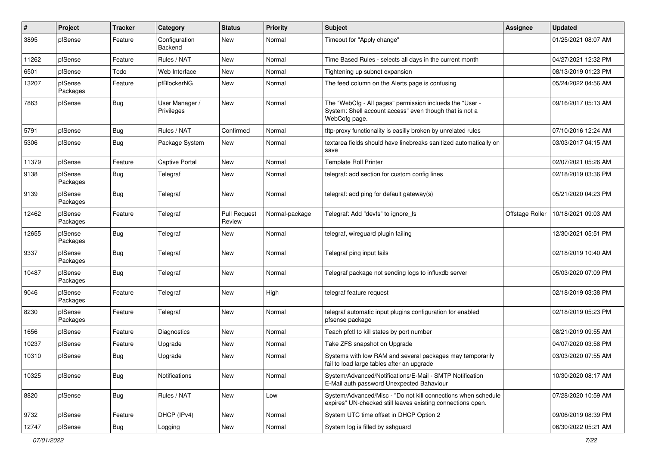| $\#$  | Project             | <b>Tracker</b> | Category                     | <b>Status</b>                 | Priority       | <b>Subject</b>                                                                                                                       | <b>Assignee</b> | <b>Updated</b>      |
|-------|---------------------|----------------|------------------------------|-------------------------------|----------------|--------------------------------------------------------------------------------------------------------------------------------------|-----------------|---------------------|
| 3895  | pfSense             | Feature        | Configuration<br>Backend     | New                           | Normal         | Timeout for "Apply change"                                                                                                           |                 | 01/25/2021 08:07 AM |
| 11262 | pfSense             | Feature        | Rules / NAT                  | New                           | Normal         | Time Based Rules - selects all days in the current month                                                                             |                 | 04/27/2021 12:32 PM |
| 6501  | pfSense             | Todo           | Web Interface                | New                           | Normal         | Tightening up subnet expansion                                                                                                       |                 | 08/13/2019 01:23 PM |
| 13207 | pfSense<br>Packages | Feature        | pfBlockerNG                  | <b>New</b>                    | Normal         | The feed column on the Alerts page is confusing                                                                                      |                 | 05/24/2022 04:56 AM |
| 7863  | pfSense             | Bug            | User Manager /<br>Privileges | New                           | Normal         | The "WebCfg - All pages" permission inclueds the "User -<br>System: Shell account access" even though that is not a<br>WebCofg page. |                 | 09/16/2017 05:13 AM |
| 5791  | pfSense             | Bug            | Rules / NAT                  | Confirmed                     | Normal         | tftp-proxy functionality is easilly broken by unrelated rules                                                                        |                 | 07/10/2016 12:24 AM |
| 5306  | pfSense             | <b>Bug</b>     | Package System               | New                           | Normal         | textarea fields should have linebreaks sanitized automatically on<br>save                                                            |                 | 03/03/2017 04:15 AM |
| 11379 | pfSense             | Feature        | Captive Portal               | <b>New</b>                    | Normal         | <b>Template Roll Printer</b>                                                                                                         |                 | 02/07/2021 05:26 AM |
| 9138  | pfSense<br>Packages | <b>Bug</b>     | Telegraf                     | New                           | Normal         | telegraf: add section for custom config lines                                                                                        |                 | 02/18/2019 03:36 PM |
| 9139  | pfSense<br>Packages | Bug            | Telegraf                     | <b>New</b>                    | Normal         | telegraf: add ping for default gateway(s)                                                                                            |                 | 05/21/2020 04:23 PM |
| 12462 | pfSense<br>Packages | Feature        | Telegraf                     | <b>Pull Request</b><br>Review | Normal-package | Telegraf: Add "devfs" to ignore fs                                                                                                   | Offstage Roller | 10/18/2021 09:03 AM |
| 12655 | pfSense<br>Packages | <b>Bug</b>     | Telegraf                     | New                           | Normal         | telegraf, wireguard plugin failing                                                                                                   |                 | 12/30/2021 05:51 PM |
| 9337  | pfSense<br>Packages | <b>Bug</b>     | Telegraf                     | New                           | Normal         | Telegraf ping input fails                                                                                                            |                 | 02/18/2019 10:40 AM |
| 10487 | pfSense<br>Packages | <b>Bug</b>     | Telegraf                     | New                           | Normal         | Telegraf package not sending logs to influxdb server                                                                                 |                 | 05/03/2020 07:09 PM |
| 9046  | pfSense<br>Packages | Feature        | Telegraf                     | New                           | High           | telegraf feature request                                                                                                             |                 | 02/18/2019 03:38 PM |
| 8230  | pfSense<br>Packages | Feature        | Telegraf                     | New                           | Normal         | telegraf automatic input plugins configuration for enabled<br>pfsense package                                                        |                 | 02/18/2019 05:23 PM |
| 1656  | pfSense             | Feature        | <b>Diagnostics</b>           | New                           | Normal         | Teach pfctl to kill states by port number                                                                                            |                 | 08/21/2019 09:55 AM |
| 10237 | pfSense             | Feature        | Upgrade                      | New                           | Normal         | Take ZFS snapshot on Upgrade                                                                                                         |                 | 04/07/2020 03:58 PM |
| 10310 | pfSense             | <b>Bug</b>     | Upgrade                      | New                           | Normal         | Systems with low RAM and several packages may temporarily<br>fail to load large tables after an upgrade                              |                 | 03/03/2020 07:55 AM |
| 10325 | pfSense             | Bug            | Notifications                | New                           | Normal         | System/Advanced/Notifications/E-Mail - SMTP Notification<br>E-Mail auth password Unexpected Bahaviour                                |                 | 10/30/2020 08:17 AM |
| 8820  | pfSense             | Bug            | Rules / NAT                  | New                           | Low            | System/Advanced/Misc - "Do not kill connections when schedule<br>expires" UN-checked still leaves existing connections open.         |                 | 07/28/2020 10:59 AM |
| 9732  | pfSense             | Feature        | DHCP (IPv4)                  | New                           | Normal         | System UTC time offset in DHCP Option 2                                                                                              |                 | 09/06/2019 08:39 PM |
| 12747 | pfSense             | <b>Bug</b>     | Logging                      | New                           | Normal         | System log is filled by sshguard                                                                                                     |                 | 06/30/2022 05:21 AM |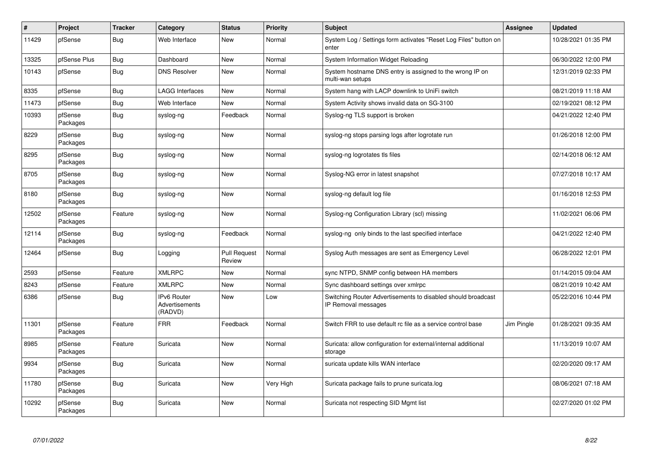| $\sharp$ | Project             | <b>Tracker</b> | Category                                 | <b>Status</b>                 | Priority  | <b>Subject</b>                                                                      | <b>Assignee</b> | <b>Updated</b>      |
|----------|---------------------|----------------|------------------------------------------|-------------------------------|-----------|-------------------------------------------------------------------------------------|-----------------|---------------------|
| 11429    | pfSense             | Bug            | Web Interface                            | <b>New</b>                    | Normal    | System Log / Settings form activates "Reset Log Files" button on<br>enter           |                 | 10/28/2021 01:35 PM |
| 13325    | pfSense Plus        | <b>Bug</b>     | Dashboard                                | <b>New</b>                    | Normal    | System Information Widget Reloading                                                 |                 | 06/30/2022 12:00 PM |
| 10143    | pfSense             | <b>Bug</b>     | <b>DNS Resolver</b>                      | <b>New</b>                    | Normal    | System hostname DNS entry is assigned to the wrong IP on<br>multi-wan setups        |                 | 12/31/2019 02:33 PM |
| 8335     | pfSense             | Bug            | <b>LAGG Interfaces</b>                   | <b>New</b>                    | Normal    | System hang with LACP downlink to UniFi switch                                      |                 | 08/21/2019 11:18 AM |
| 11473    | pfSense             | Bug            | Web Interface                            | <b>New</b>                    | Normal    | System Activity shows invalid data on SG-3100                                       |                 | 02/19/2021 08:12 PM |
| 10393    | pfSense<br>Packages | Bug            | syslog-ng                                | Feedback                      | Normal    | Syslog-ng TLS support is broken                                                     |                 | 04/21/2022 12:40 PM |
| 8229     | pfSense<br>Packages | Bug            | syslog-ng                                | <b>New</b>                    | Normal    | syslog-ng stops parsing logs after logrotate run                                    |                 | 01/26/2018 12:00 PM |
| 8295     | pfSense<br>Packages | Bug            | syslog-ng                                | New                           | Normal    | syslog-ng logrotates tls files                                                      |                 | 02/14/2018 06:12 AM |
| 8705     | pfSense<br>Packages | <b>Bug</b>     | syslog-ng                                | New                           | Normal    | Syslog-NG error in latest snapshot                                                  |                 | 07/27/2018 10:17 AM |
| 8180     | pfSense<br>Packages | <b>Bug</b>     | syslog-ng                                | New                           | Normal    | syslog-ng default log file                                                          |                 | 01/16/2018 12:53 PM |
| 12502    | pfSense<br>Packages | Feature        | syslog-ng                                | <b>New</b>                    | Normal    | Syslog-ng Configuration Library (scl) missing                                       |                 | 11/02/2021 06:06 PM |
| 12114    | pfSense<br>Packages | <b>Bug</b>     | syslog-ng                                | Feedback                      | Normal    | syslog-ng only binds to the last specified interface                                |                 | 04/21/2022 12:40 PM |
| 12464    | pfSense             | Bug            | Logging                                  | <b>Pull Request</b><br>Review | Normal    | Syslog Auth messages are sent as Emergency Level                                    |                 | 06/28/2022 12:01 PM |
| 2593     | pfSense             | Feature        | <b>XMLRPC</b>                            | <b>New</b>                    | Normal    | sync NTPD, SNMP config between HA members                                           |                 | 01/14/2015 09:04 AM |
| 8243     | pfSense             | Feature        | <b>XMLRPC</b>                            | <b>New</b>                    | Normal    | Sync dashboard settings over xmlrpc                                                 |                 | 08/21/2019 10:42 AM |
| 6386     | pfSense             | <b>Bug</b>     | IPv6 Router<br>Advertisements<br>(RADVD) | New                           | Low       | Switching Router Advertisements to disabled should broadcast<br>IP Removal messages |                 | 05/22/2016 10:44 PM |
| 11301    | pfSense<br>Packages | Feature        | <b>FRR</b>                               | Feedback                      | Normal    | Switch FRR to use default rc file as a service control base                         | Jim Pingle      | 01/28/2021 09:35 AM |
| 8985     | pfSense<br>Packages | Feature        | Suricata                                 | <b>New</b>                    | Normal    | Suricata: allow configuration for external/internal additional<br>storage           |                 | 11/13/2019 10:07 AM |
| 9934     | pfSense<br>Packages | <b>Bug</b>     | Suricata                                 | <b>New</b>                    | Normal    | suricata update kills WAN interface                                                 |                 | 02/20/2020 09:17 AM |
| 11780    | pfSense<br>Packages | Bug            | Suricata                                 | New                           | Very High | Suricata package fails to prune suricata.log                                        |                 | 08/06/2021 07:18 AM |
| 10292    | pfSense<br>Packages | Bug            | Suricata                                 | <b>New</b>                    | Normal    | Suricata not respecting SID Mgmt list                                               |                 | 02/27/2020 01:02 PM |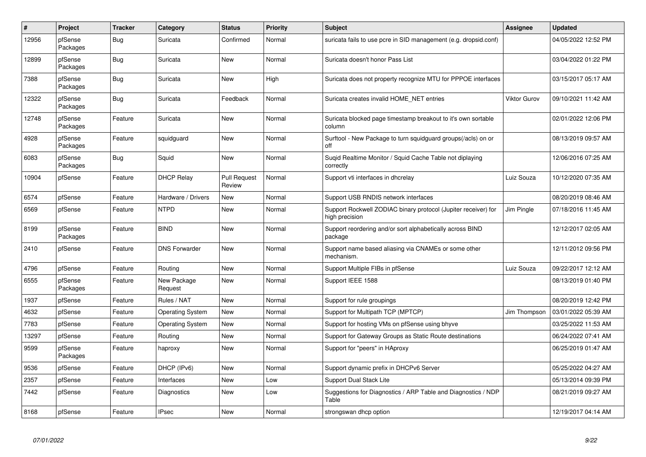| $\#$  | Project             | <b>Tracker</b> | Category                | <b>Status</b>                 | <b>Priority</b> | <b>Subject</b>                                                                   | Assignee            | <b>Updated</b>      |
|-------|---------------------|----------------|-------------------------|-------------------------------|-----------------|----------------------------------------------------------------------------------|---------------------|---------------------|
| 12956 | pfSense<br>Packages | <b>Bug</b>     | Suricata                | Confirmed                     | Normal          | suricata fails to use pcre in SID management (e.g. dropsid.conf)                 |                     | 04/05/2022 12:52 PM |
| 12899 | pfSense<br>Packages | <b>Bug</b>     | Suricata                | New                           | Normal          | Suricata doesn't honor Pass List                                                 |                     | 03/04/2022 01:22 PM |
| 7388  | pfSense<br>Packages | <b>Bug</b>     | Suricata                | New                           | High            | Suricata does not property recognize MTU for PPPOE interfaces                    |                     | 03/15/2017 05:17 AM |
| 12322 | pfSense<br>Packages | <b>Bug</b>     | Suricata                | Feedback                      | Normal          | Suricata creates invalid HOME NET entries                                        | <b>Viktor Gurov</b> | 09/10/2021 11:42 AM |
| 12748 | pfSense<br>Packages | Feature        | Suricata                | New                           | Normal          | Suricata blocked page timestamp breakout to it's own sortable<br>column          |                     | 02/01/2022 12:06 PM |
| 4928  | pfSense<br>Packages | Feature        | squidguard              | New                           | Normal          | Surftool - New Package to turn squidguard groups(/acls) on or<br>off             |                     | 08/13/2019 09:57 AM |
| 6083  | pfSense<br>Packages | Bug            | Squid                   | <b>New</b>                    | Normal          | Sugid Realtime Monitor / Squid Cache Table not diplaying<br>correctlv            |                     | 12/06/2016 07:25 AM |
| 10904 | pfSense             | Feature        | <b>DHCP Relay</b>       | <b>Pull Request</b><br>Review | Normal          | Support vti interfaces in dhcrelay                                               | Luiz Souza          | 10/12/2020 07:35 AM |
| 6574  | pfSense             | Feature        | Hardware / Drivers      | <b>New</b>                    | Normal          | Support USB RNDIS network interfaces                                             |                     | 08/20/2019 08:46 AM |
| 6569  | pfSense             | Feature        | <b>NTPD</b>             | New                           | Normal          | Support Rockwell ZODIAC binary protocol (Jupiter receiver) for<br>high precision | Jim Pingle          | 07/18/2016 11:45 AM |
| 8199  | pfSense<br>Packages | Feature        | <b>BIND</b>             | New                           | Normal          | Support reordering and/or sort alphabetically across BIND<br>package             |                     | 12/12/2017 02:05 AM |
| 2410  | pfSense             | Feature        | <b>DNS Forwarder</b>    | New                           | Normal          | Support name based aliasing via CNAMEs or some other<br>mechanism.               |                     | 12/11/2012 09:56 PM |
| 4796  | pfSense             | Feature        | Routing                 | New                           | Normal          | Support Multiple FIBs in pfSense                                                 | Luiz Souza          | 09/22/2017 12:12 AM |
| 6555  | pfSense<br>Packages | Feature        | New Package<br>Request  | New                           | Normal          | Support IEEE 1588                                                                |                     | 08/13/2019 01:40 PM |
| 1937  | pfSense             | Feature        | Rules / NAT             | New                           | Normal          | Support for rule groupings                                                       |                     | 08/20/2019 12:42 PM |
| 4632  | pfSense             | Feature        | <b>Operating System</b> | New                           | Normal          | Support for Multipath TCP (MPTCP)                                                | Jim Thompson        | 03/01/2022 05:39 AM |
| 7783  | pfSense             | Feature        | <b>Operating System</b> | New                           | Normal          | Support for hosting VMs on pfSense using bhyve                                   |                     | 03/25/2022 11:53 AM |
| 13297 | pfSense             | Feature        | Routing                 | New                           | Normal          | Support for Gateway Groups as Static Route destinations                          |                     | 06/24/2022 07:41 AM |
| 9599  | pfSense<br>Packages | Feature        | haproxy                 | New                           | Normal          | Support for "peers" in HAproxy                                                   |                     | 06/25/2019 01:47 AM |
| 9536  | pfSense             | Feature        | DHCP (IPv6)             | New                           | Normal          | Support dynamic prefix in DHCPv6 Server                                          |                     | 05/25/2022 04:27 AM |
| 2357  | pfSense             | Feature        | Interfaces              | New                           | Low             | Support Dual Stack Lite                                                          |                     | 05/13/2014 09:39 PM |
| 7442  | pfSense             | Feature        | Diagnostics             | New                           | Low             | Suggestions for Diagnostics / ARP Table and Diagnostics / NDP<br>Table           |                     | 08/21/2019 09:27 AM |
| 8168  | pfSense             | Feature        | <b>IPsec</b>            | New                           | Normal          | strongswan dhcp option                                                           |                     | 12/19/2017 04:14 AM |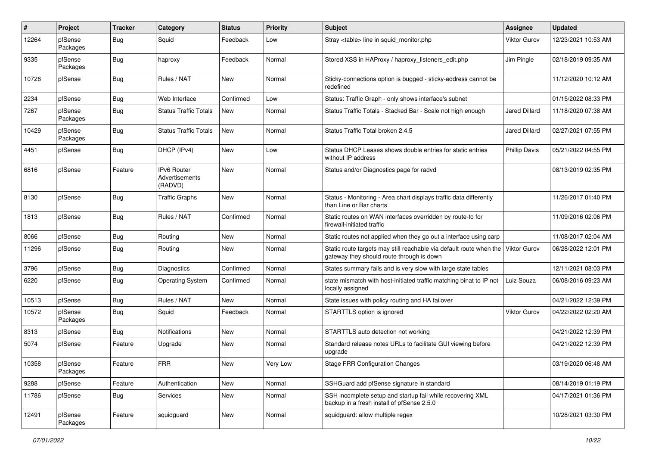| $\pmb{\#}$ | Project             | <b>Tracker</b> | Category                                 | <b>Status</b> | <b>Priority</b> | Subject                                                                                                          | <b>Assignee</b>      | <b>Updated</b>      |
|------------|---------------------|----------------|------------------------------------------|---------------|-----------------|------------------------------------------------------------------------------------------------------------------|----------------------|---------------------|
| 12264      | pfSense<br>Packages | <b>Bug</b>     | Squid                                    | Feedback      | Low             | Stray <table> line in squid monitor.php</table>                                                                  | Viktor Gurov         | 12/23/2021 10:53 AM |
| 9335       | pfSense<br>Packages | Bug            | haproxy                                  | Feedback      | Normal          | Stored XSS in HAProxy / haproxy_listeners_edit.php                                                               | Jim Pingle           | 02/18/2019 09:35 AM |
| 10726      | pfSense             | Bug            | Rules / NAT                              | <b>New</b>    | Normal          | Sticky-connections option is bugged - sticky-address cannot be<br>redefined                                      |                      | 11/12/2020 10:12 AM |
| 2234       | pfSense             | <b>Bug</b>     | Web Interface                            | Confirmed     | Low             | Status: Traffic Graph - only shows interface's subnet                                                            |                      | 01/15/2022 08:33 PM |
| 7267       | pfSense<br>Packages | Bug            | <b>Status Traffic Totals</b>             | New           | Normal          | Status Traffic Totals - Stacked Bar - Scale not high enough                                                      | <b>Jared Dillard</b> | 11/18/2020 07:38 AM |
| 10429      | pfSense<br>Packages | Bug            | <b>Status Traffic Totals</b>             | New           | Normal          | Status Traffic Total broken 2.4.5                                                                                | Jared Dillard        | 02/27/2021 07:55 PM |
| 4451       | pfSense             | <b>Bug</b>     | DHCP (IPv4)                              | New           | Low             | Status DHCP Leases shows double entries for static entries<br>without IP address                                 | <b>Phillip Davis</b> | 05/21/2022 04:55 PM |
| 6816       | pfSense             | Feature        | IPv6 Router<br>Advertisements<br>(RADVD) | New           | Normal          | Status and/or Diagnostics page for radvd                                                                         |                      | 08/13/2019 02:35 PM |
| 8130       | pfSense             | Bug            | <b>Traffic Graphs</b>                    | New           | Normal          | Status - Monitoring - Area chart displays traffic data differently<br>than Line or Bar charts                    |                      | 11/26/2017 01:40 PM |
| 1813       | pfSense             | Bug            | Rules / NAT                              | Confirmed     | Normal          | Static routes on WAN interfaces overridden by route-to for<br>firewall-initiated traffic                         |                      | 11/09/2016 02:06 PM |
| 8066       | pfSense             | Bug            | Routing                                  | New           | Normal          | Static routes not applied when they go out a interface using carp                                                |                      | 11/08/2017 02:04 AM |
| 11296      | pfSense             | Bug            | Routing                                  | New           | Normal          | Static route targets may still reachable via default route when the<br>gateway they should route through is down | Viktor Gurov         | 06/28/2022 12:01 PM |
| 3796       | pfSense             | Bug            | Diagnostics                              | Confirmed     | Normal          | States summary fails and is very slow with large state tables                                                    |                      | 12/11/2021 08:03 PM |
| 6220       | pfSense             | Bug            | <b>Operating System</b>                  | Confirmed     | Normal          | state mismatch with host-initiated traffic matching binat to IP not<br>locally assigned                          | Luiz Souza           | 06/08/2016 09:23 AM |
| 10513      | pfSense             | Bug            | Rules / NAT                              | <b>New</b>    | Normal          | State issues with policy routing and HA failover                                                                 |                      | 04/21/2022 12:39 PM |
| 10572      | pfSense<br>Packages | Bug            | Squid                                    | Feedback      | Normal          | STARTTLS option is ignored                                                                                       | Viktor Gurov         | 04/22/2022 02:20 AM |
| 8313       | pfSense             | Bug            | Notifications                            | New           | Normal          | STARTTLS auto detection not working                                                                              |                      | 04/21/2022 12:39 PM |
| 5074       | pfSense             | Feature        | Upgrade                                  | New           | Normal          | Standard release notes URLs to facilitate GUI viewing before<br>upgrade                                          |                      | 04/21/2022 12:39 PM |
| 10358      | pfSense<br>Packages | Feature        | <b>FRR</b>                               | New           | Very Low        | <b>Stage FRR Configuration Changes</b>                                                                           |                      | 03/19/2020 06:48 AM |
| 9288       | pfSense             | Feature        | Authentication                           | New           | Normal          | SSHGuard add pfSense signature in standard                                                                       |                      | 08/14/2019 01:19 PM |
| 11786      | pfSense             | <b>Bug</b>     | Services                                 | New           | Normal          | SSH incomplete setup and startup fail while recovering XML<br>backup in a fresh install of pfSense 2.5.0         |                      | 04/17/2021 01:36 PM |
| 12491      | pfSense<br>Packages | Feature        | squidguard                               | New           | Normal          | squidguard: allow multiple regex                                                                                 |                      | 10/28/2021 03:30 PM |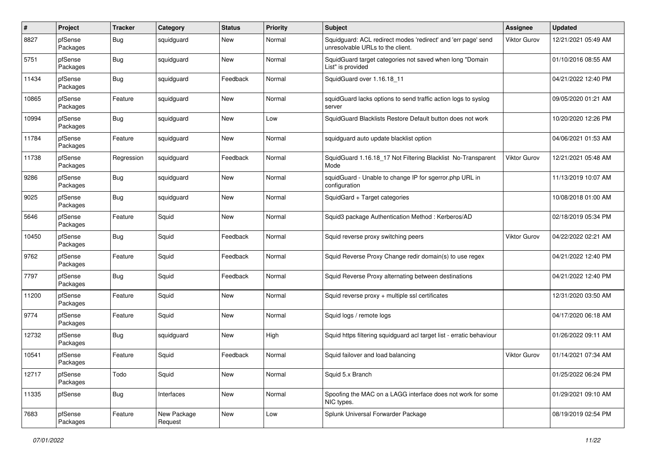| #     | Project             | <b>Tracker</b> | Category               | <b>Status</b> | <b>Priority</b> | <b>Subject</b>                                                                                    | <b>Assignee</b>     | <b>Updated</b>      |
|-------|---------------------|----------------|------------------------|---------------|-----------------|---------------------------------------------------------------------------------------------------|---------------------|---------------------|
| 8827  | pfSense<br>Packages | Bug            | squidguard             | New           | Normal          | Squidguard: ACL redirect modes 'redirect' and 'err page' send<br>unresolvable URLs to the client. | <b>Viktor Gurov</b> | 12/21/2021 05:49 AM |
| 5751  | pfSense<br>Packages | Bug            | squidguard             | New           | Normal          | SquidGuard target categories not saved when long "Domain<br>List" is provided                     |                     | 01/10/2016 08:55 AM |
| 11434 | pfSense<br>Packages | Bug            | squidguard             | Feedback      | Normal          | SquidGuard over 1.16.18_11                                                                        |                     | 04/21/2022 12:40 PM |
| 10865 | pfSense<br>Packages | Feature        | squidguard             | New           | Normal          | squidGuard lacks options to send traffic action logs to syslog<br>server                          |                     | 09/05/2020 01:21 AM |
| 10994 | pfSense<br>Packages | Bug            | squidguard             | New           | Low             | SquidGuard Blacklists Restore Default button does not work                                        |                     | 10/20/2020 12:26 PM |
| 11784 | pfSense<br>Packages | Feature        | squidguard             | New           | Normal          | squidguard auto update blacklist option                                                           |                     | 04/06/2021 01:53 AM |
| 11738 | pfSense<br>Packages | Regression     | squidguard             | Feedback      | Normal          | SquidGuard 1.16.18_17 Not Filtering Blacklist No-Transparent<br>Mode                              | <b>Viktor Gurov</b> | 12/21/2021 05:48 AM |
| 9286  | pfSense<br>Packages | <b>Bug</b>     | squidguard             | New           | Normal          | squidGuard - Unable to change IP for sgerror.php URL in<br>configuration                          |                     | 11/13/2019 10:07 AM |
| 9025  | pfSense<br>Packages | Bug            | squidguard             | New           | Normal          | SquidGard + Target categories                                                                     |                     | 10/08/2018 01:00 AM |
| 5646  | pfSense<br>Packages | Feature        | Squid                  | New           | Normal          | Squid3 package Authentication Method: Kerberos/AD                                                 |                     | 02/18/2019 05:34 PM |
| 10450 | pfSense<br>Packages | Bug            | Squid                  | Feedback      | Normal          | Squid reverse proxy switching peers                                                               | Viktor Gurov        | 04/22/2022 02:21 AM |
| 9762  | pfSense<br>Packages | Feature        | Squid                  | Feedback      | Normal          | Squid Reverse Proxy Change redir domain(s) to use regex                                           |                     | 04/21/2022 12:40 PM |
| 7797  | pfSense<br>Packages | Bug            | Squid                  | Feedback      | Normal          | Squid Reverse Proxy alternating between destinations                                              |                     | 04/21/2022 12:40 PM |
| 11200 | pfSense<br>Packages | Feature        | Squid                  | <b>New</b>    | Normal          | Squid reverse proxy + multiple ssl certificates                                                   |                     | 12/31/2020 03:50 AM |
| 9774  | pfSense<br>Packages | Feature        | Squid                  | New           | Normal          | Squid logs / remote logs                                                                          |                     | 04/17/2020 06:18 AM |
| 12732 | pfSense<br>Packages | Bug            | squidguard             | New           | High            | Squid https filtering squidguard acl target list - erratic behaviour                              |                     | 01/26/2022 09:11 AM |
| 10541 | pfSense<br>Packages | Feature        | Squid                  | Feedback      | Normal          | Squid failover and load balancing                                                                 | <b>Viktor Gurov</b> | 01/14/2021 07:34 AM |
| 12717 | pfSense<br>Packages | Todo           | Squid                  | New           | Normal          | Squid 5.x Branch                                                                                  |                     | 01/25/2022 06:24 PM |
| 11335 | pfSense             | <b>Bug</b>     | Interfaces             | New           | Normal          | Spoofing the MAC on a LAGG interface does not work for some<br>NIC types.                         |                     | 01/29/2021 09:10 AM |
| 7683  | pfSense<br>Packages | Feature        | New Package<br>Request | New           | Low             | Splunk Universal Forwarder Package                                                                |                     | 08/19/2019 02:54 PM |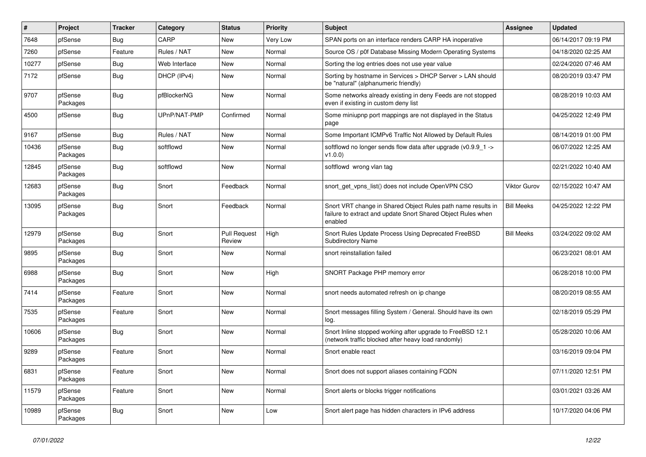| $\vert$ # | Project             | <b>Tracker</b> | Category      | <b>Status</b>                 | <b>Priority</b> | <b>Subject</b>                                                                                                                          | <b>Assignee</b>     | <b>Updated</b>      |
|-----------|---------------------|----------------|---------------|-------------------------------|-----------------|-----------------------------------------------------------------------------------------------------------------------------------------|---------------------|---------------------|
| 7648      | pfSense             | <b>Bug</b>     | CARP          | New                           | <b>Very Low</b> | SPAN ports on an interface renders CARP HA inoperative                                                                                  |                     | 06/14/2017 09:19 PM |
| 7260      | pfSense             | Feature        | Rules / NAT   | New                           | Normal          | Source OS / p0f Database Missing Modern Operating Systems                                                                               |                     | 04/18/2020 02:25 AM |
| 10277     | pfSense             | <b>Bug</b>     | Web Interface | New                           | Normal          | Sorting the log entries does not use year value                                                                                         |                     | 02/24/2020 07:46 AM |
| 7172      | pfSense             | Bug            | DHCP (IPv4)   | New                           | Normal          | Sorting by hostname in Services > DHCP Server > LAN should<br>be "natural" (alphanumeric friendly)                                      |                     | 08/20/2019 03:47 PM |
| 9707      | pfSense<br>Packages | <b>Bug</b>     | pfBlockerNG   | New                           | Normal          | Some networks already existing in deny Feeds are not stopped<br>even if existing in custom deny list                                    |                     | 08/28/2019 10:03 AM |
| 4500      | pfSense             | Bug            | UPnP/NAT-PMP  | Confirmed                     | Normal          | Some miniupnp port mappings are not displayed in the Status<br>page                                                                     |                     | 04/25/2022 12:49 PM |
| 9167      | pfSense             | Bug            | Rules / NAT   | New                           | Normal          | Some Important ICMPv6 Traffic Not Allowed by Default Rules                                                                              |                     | 08/14/2019 01:00 PM |
| 10436     | pfSense<br>Packages | Bug            | softflowd     | New                           | Normal          | softflowd no longer sends flow data after upgrade ( $v0.9.91 - v$<br>v1.0.0                                                             |                     | 06/07/2022 12:25 AM |
| 12845     | pfSense<br>Packages | <b>Bug</b>     | softflowd     | New                           | Normal          | softflowd wrong vlan tag                                                                                                                |                     | 02/21/2022 10:40 AM |
| 12683     | pfSense<br>Packages | <b>Bug</b>     | Snort         | Feedback                      | Normal          | snort get vpns list() does not include OpenVPN CSO                                                                                      | <b>Viktor Gurov</b> | 02/15/2022 10:47 AM |
| 13095     | pfSense<br>Packages | <b>Bug</b>     | Snort         | Feedback                      | Normal          | Snort VRT change in Shared Object Rules path name results in<br>failure to extract and update Snort Shared Object Rules when<br>enabled | <b>Bill Meeks</b>   | 04/25/2022 12:22 PM |
| 12979     | pfSense<br>Packages | Bug            | Snort         | <b>Pull Request</b><br>Review | High            | Snort Rules Update Process Using Deprecated FreeBSD<br><b>Subdirectory Name</b>                                                         | <b>Bill Meeks</b>   | 03/24/2022 09:02 AM |
| 9895      | pfSense<br>Packages | Bug            | Snort         | New                           | Normal          | snort reinstallation failed                                                                                                             |                     | 06/23/2021 08:01 AM |
| 6988      | pfSense<br>Packages | <b>Bug</b>     | Snort         | <b>New</b>                    | High            | SNORT Package PHP memory error                                                                                                          |                     | 06/28/2018 10:00 PM |
| 7414      | pfSense<br>Packages | Feature        | Snort         | <b>New</b>                    | Normal          | snort needs automated refresh on ip change                                                                                              |                     | 08/20/2019 08:55 AM |
| 7535      | pfSense<br>Packages | Feature        | Snort         | New                           | Normal          | Snort messages filling System / General. Should have its own<br>log.                                                                    |                     | 02/18/2019 05:29 PM |
| 10606     | pfSense<br>Packages | <b>Bug</b>     | Snort         | New                           | Normal          | Snort Inline stopped working after upgrade to FreeBSD 12.1<br>(network traffic blocked after heavy load randomly)                       |                     | 05/28/2020 10:06 AM |
| 9289      | pfSense<br>Packages | Feature        | Snort         | <b>New</b>                    | Normal          | Snort enable react                                                                                                                      |                     | 03/16/2019 09:04 PM |
| 6831      | pfSense<br>Packages | Feature        | Snort         | New                           | Normal          | Snort does not support aliases containing FQDN                                                                                          |                     | 07/11/2020 12:51 PM |
| 11579     | pfSense<br>Packages | Feature        | Snort         | New                           | Normal          | Snort alerts or blocks trigger notifications                                                                                            |                     | 03/01/2021 03:26 AM |
| 10989     | pfSense<br>Packages | <b>Bug</b>     | Snort         | <b>New</b>                    | Low             | Snort alert page has hidden characters in IPv6 address                                                                                  |                     | 10/17/2020 04:06 PM |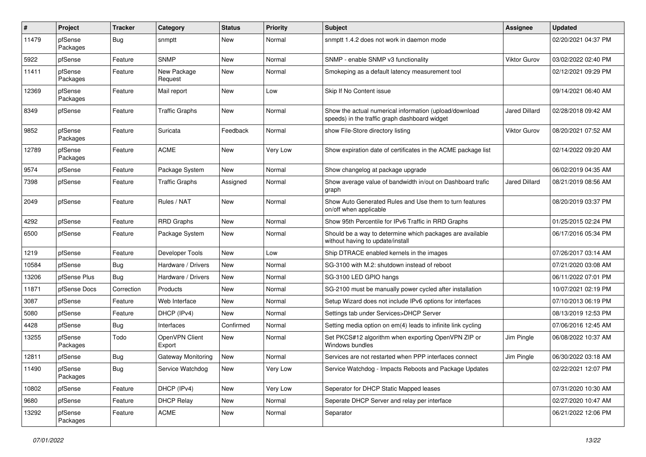| $\pmb{\#}$ | Project             | <b>Tracker</b> | Category                 | <b>Status</b> | <b>Priority</b> | <b>Subject</b>                                                                                          | Assignee             | <b>Updated</b>      |
|------------|---------------------|----------------|--------------------------|---------------|-----------------|---------------------------------------------------------------------------------------------------------|----------------------|---------------------|
| 11479      | pfSense<br>Packages | <b>Bug</b>     | snmptt                   | New           | Normal          | snmptt 1.4.2 does not work in daemon mode                                                               |                      | 02/20/2021 04:37 PM |
| 5922       | pfSense             | Feature        | <b>SNMP</b>              | New           | Normal          | SNMP - enable SNMP v3 functionality                                                                     | <b>Viktor Gurov</b>  | 03/02/2022 02:40 PM |
| 11411      | pfSense<br>Packages | Feature        | New Package<br>Request   | New           | Normal          | Smokeping as a default latency measurement tool                                                         |                      | 02/12/2021 09:29 PM |
| 12369      | pfSense<br>Packages | Feature        | Mail report              | New           | Low             | Skip If No Content issue                                                                                |                      | 09/14/2021 06:40 AM |
| 8349       | pfSense             | Feature        | <b>Traffic Graphs</b>    | New           | Normal          | Show the actual numerical information (upload/download<br>speeds) in the traffic graph dashboard widget | <b>Jared Dillard</b> | 02/28/2018 09:42 AM |
| 9852       | pfSense<br>Packages | Feature        | Suricata                 | Feedback      | Normal          | show File-Store directory listing                                                                       | <b>Viktor Gurov</b>  | 08/20/2021 07:52 AM |
| 12789      | pfSense<br>Packages | Feature        | <b>ACME</b>              | New           | Very Low        | Show expiration date of certificates in the ACME package list                                           |                      | 02/14/2022 09:20 AM |
| 9574       | pfSense             | Feature        | Package System           | New           | Normal          | Show changelog at package upgrade                                                                       |                      | 06/02/2019 04:35 AM |
| 7398       | pfSense             | Feature        | <b>Traffic Graphs</b>    | Assigned      | Normal          | Show average value of bandwidth in/out on Dashboard trafic<br>graph                                     | <b>Jared Dillard</b> | 08/21/2019 08:56 AM |
| 2049       | pfSense             | Feature        | Rules / NAT              | <b>New</b>    | Normal          | Show Auto Generated Rules and Use them to turn features<br>on/off when applicable                       |                      | 08/20/2019 03:37 PM |
| 4292       | pfSense             | Feature        | <b>RRD Graphs</b>        | <b>New</b>    | Normal          | Show 95th Percentile for IPv6 Traffic in RRD Graphs                                                     |                      | 01/25/2015 02:24 PM |
| 6500       | pfSense             | Feature        | Package System           | New           | Normal          | Should be a way to determine which packages are available<br>without having to update/install           |                      | 06/17/2016 05:34 PM |
| 1219       | pfSense             | Feature        | Developer Tools          | New           | Low             | Ship DTRACE enabled kernels in the images                                                               |                      | 07/26/2017 03:14 AM |
| 10584      | pfSense             | <b>Bug</b>     | Hardware / Drivers       | New           | Normal          | SG-3100 with M.2: shutdown instead of reboot                                                            |                      | 07/21/2020 03:08 AM |
| 13206      | pfSense Plus        | Bug            | Hardware / Drivers       | <b>New</b>    | Normal          | SG-3100 LED GPIO hangs                                                                                  |                      | 06/11/2022 07:01 PM |
| 11871      | pfSense Docs        | Correction     | Products                 | New           | Normal          | SG-2100 must be manually power cycled after installation                                                |                      | 10/07/2021 02:19 PM |
| 3087       | pfSense             | Feature        | Web Interface            | New           | Normal          | Setup Wizard does not include IPv6 options for interfaces                                               |                      | 07/10/2013 06:19 PM |
| 5080       | pfSense             | Feature        | DHCP (IPv4)              | <b>New</b>    | Normal          | Settings tab under Services>DHCP Server                                                                 |                      | 08/13/2019 12:53 PM |
| 4428       | pfSense             | Bug            | Interfaces               | Confirmed     | Normal          | Setting media option on em(4) leads to infinite link cycling                                            |                      | 07/06/2016 12:45 AM |
| 13255      | pfSense<br>Packages | Todo           | OpenVPN Client<br>Export | New           | Normal          | Set PKCS#12 algorithm when exporting OpenVPN ZIP or<br>Windows bundles                                  | Jim Pingle           | 06/08/2022 10:37 AM |
| 12811      | pfSense             | <b>Bug</b>     | Gateway Monitoring       | New           | Normal          | Services are not restarted when PPP interfaces connect                                                  | Jim Pingle           | 06/30/2022 03:18 AM |
| 11490      | pfSense<br>Packages | <b>Bug</b>     | Service Watchdog         | New           | Very Low        | Service Watchdog - Impacts Reboots and Package Updates                                                  |                      | 02/22/2021 12:07 PM |
| 10802      | pfSense             | Feature        | DHCP (IPv4)              | New           | Very Low        | Seperator for DHCP Static Mapped leases                                                                 |                      | 07/31/2020 10:30 AM |
| 9680       | pfSense             | Feature        | <b>DHCP Relay</b>        | New           | Normal          | Seperate DHCP Server and relay per interface                                                            |                      | 02/27/2020 10:47 AM |
| 13292      | pfSense<br>Packages | Feature        | ACME                     | New           | Normal          | Separator                                                                                               |                      | 06/21/2022 12:06 PM |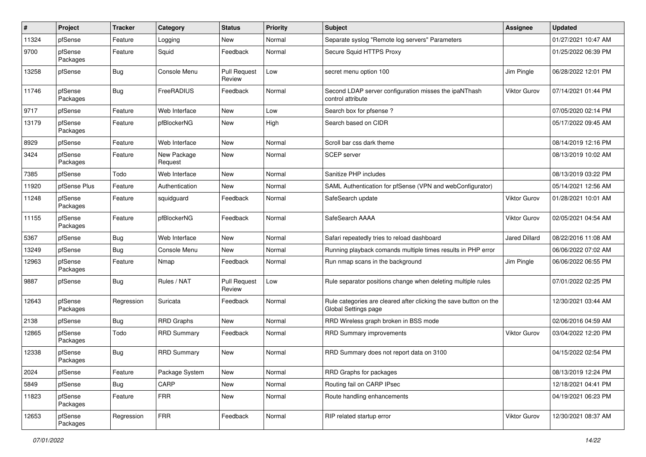| $\#$  | Project             | <b>Tracker</b> | Category               | <b>Status</b>                 | <b>Priority</b> | <b>Subject</b>                                                                            | <b>Assignee</b>      | <b>Updated</b>      |
|-------|---------------------|----------------|------------------------|-------------------------------|-----------------|-------------------------------------------------------------------------------------------|----------------------|---------------------|
| 11324 | pfSense             | Feature        | Logging                | New                           | Normal          | Separate syslog "Remote log servers" Parameters                                           |                      | 01/27/2021 10:47 AM |
| 9700  | pfSense<br>Packages | Feature        | Squid                  | Feedback                      | Normal          | Secure Squid HTTPS Proxy                                                                  |                      | 01/25/2022 06:39 PM |
| 13258 | pfSense             | <b>Bug</b>     | Console Menu           | <b>Pull Request</b><br>Review | Low             | secret menu option 100                                                                    | Jim Pingle           | 06/28/2022 12:01 PM |
| 11746 | pfSense<br>Packages | <b>Bug</b>     | FreeRADIUS             | Feedback                      | Normal          | Second LDAP server configuration misses the ipaNThash<br>control attribute                | Viktor Gurov         | 07/14/2021 01:44 PM |
| 9717  | pfSense             | Feature        | Web Interface          | <b>New</b>                    | Low             | Search box for pfsense?                                                                   |                      | 07/05/2020 02:14 PM |
| 13179 | pfSense<br>Packages | Feature        | pfBlockerNG            | New                           | High            | Search based on CIDR                                                                      |                      | 05/17/2022 09:45 AM |
| 8929  | pfSense             | Feature        | Web Interface          | New                           | Normal          | Scroll bar css dark theme                                                                 |                      | 08/14/2019 12:16 PM |
| 3424  | pfSense<br>Packages | Feature        | New Package<br>Request | New                           | Normal          | <b>SCEP</b> server                                                                        |                      | 08/13/2019 10:02 AM |
| 7385  | pfSense             | Todo           | Web Interface          | New                           | Normal          | Sanitize PHP includes                                                                     |                      | 08/13/2019 03:22 PM |
| 11920 | pfSense Plus        | Feature        | Authentication         | New                           | Normal          | SAML Authentication for pfSense (VPN and webConfigurator)                                 |                      | 05/14/2021 12:56 AM |
| 11248 | pfSense<br>Packages | Feature        | squidguard             | Feedback                      | Normal          | SafeSearch update                                                                         | Viktor Gurov         | 01/28/2021 10:01 AM |
| 11155 | pfSense<br>Packages | Feature        | pfBlockerNG            | Feedback                      | Normal          | SafeSearch AAAA                                                                           | <b>Viktor Gurov</b>  | 02/05/2021 04:54 AM |
| 5367  | pfSense             | <b>Bug</b>     | Web Interface          | New                           | Normal          | Safari repeatedly tries to reload dashboard                                               | <b>Jared Dillard</b> | 08/22/2016 11:08 AM |
| 13249 | pfSense             | <b>Bug</b>     | Console Menu           | <b>New</b>                    | Normal          | Running playback comands multiple times results in PHP error                              |                      | 06/06/2022 07:02 AM |
| 12963 | pfSense<br>Packages | Feature        | Nmap                   | Feedback                      | Normal          | Run nmap scans in the background                                                          | Jim Pingle           | 06/06/2022 06:55 PM |
| 9887  | pfSense             | <b>Bug</b>     | Rules / NAT            | <b>Pull Request</b><br>Review | Low             | Rule separator positions change when deleting multiple rules                              |                      | 07/01/2022 02:25 PM |
| 12643 | pfSense<br>Packages | Regression     | Suricata               | Feedback                      | Normal          | Rule categories are cleared after clicking the save button on the<br>Global Settings page |                      | 12/30/2021 03:44 AM |
| 2138  | pfSense             | <b>Bug</b>     | <b>RRD Graphs</b>      | New                           | Normal          | RRD Wireless graph broken in BSS mode                                                     |                      | 02/06/2016 04:59 AM |
| 12865 | pfSense<br>Packages | Todo           | <b>RRD Summary</b>     | Feedback                      | Normal          | RRD Summary improvements                                                                  | <b>Viktor Gurov</b>  | 03/04/2022 12:20 PM |
| 12338 | pfSense<br>Packages | <b>Bug</b>     | <b>RRD Summary</b>     | New                           | Normal          | RRD Summary does not report data on 3100                                                  |                      | 04/15/2022 02:54 PM |
| 2024  | pfSense             | Feature        | Package System         | New                           | Normal          | RRD Graphs for packages                                                                   |                      | 08/13/2019 12:24 PM |
| 5849  | pfSense             | <b>Bug</b>     | CARP                   | New                           | Normal          | Routing fail on CARP IPsec                                                                |                      | 12/18/2021 04:41 PM |
| 11823 | pfSense<br>Packages | Feature        | <b>FRR</b>             | New                           | Normal          | Route handling enhancements                                                               |                      | 04/19/2021 06:23 PM |
| 12653 | pfSense<br>Packages | Regression     | <b>FRR</b>             | Feedback                      | Normal          | RIP related startup error                                                                 | Viktor Gurov         | 12/30/2021 08:37 AM |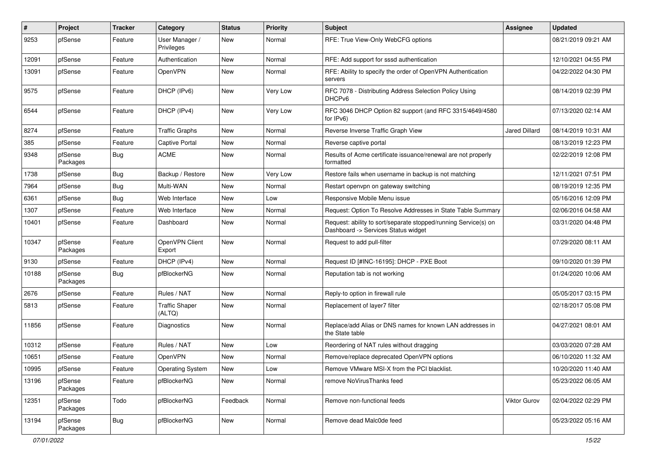| #     | Project             | <b>Tracker</b> | Category                        | <b>Status</b> | <b>Priority</b> | <b>Subject</b>                                                                                         | Assignee             | <b>Updated</b>      |
|-------|---------------------|----------------|---------------------------------|---------------|-----------------|--------------------------------------------------------------------------------------------------------|----------------------|---------------------|
| 9253  | pfSense             | Feature        | User Manager /<br>Privileges    | New           | Normal          | RFE: True View-Only WebCFG options                                                                     |                      | 08/21/2019 09:21 AM |
| 12091 | pfSense             | Feature        | Authentication                  | New           | Normal          | RFE: Add support for sssd authentication                                                               |                      | 12/10/2021 04:55 PM |
| 13091 | pfSense             | Feature        | OpenVPN                         | New           | Normal          | RFE: Ability to specify the order of OpenVPN Authentication<br>servers                                 |                      | 04/22/2022 04:30 PM |
| 9575  | pfSense             | Feature        | DHCP (IPv6)                     | New           | Very Low        | RFC 7078 - Distributing Address Selection Policy Using<br>DHCP <sub>v6</sub>                           |                      | 08/14/2019 02:39 PM |
| 6544  | pfSense             | Feature        | DHCP (IPv4)                     | <b>New</b>    | Very Low        | RFC 3046 DHCP Option 82 support (and RFC 3315/4649/4580<br>for IPv6)                                   |                      | 07/13/2020 02:14 AM |
| 8274  | pfSense             | Feature        | <b>Traffic Graphs</b>           | New           | Normal          | Reverse Inverse Traffic Graph View                                                                     | <b>Jared Dillard</b> | 08/14/2019 10:31 AM |
| 385   | pfSense             | Feature        | Captive Portal                  | New           | Normal          | Reverse captive portal                                                                                 |                      | 08/13/2019 12:23 PM |
| 9348  | pfSense<br>Packages | Bug            | <b>ACME</b>                     | New           | Normal          | Results of Acme certificate issuance/renewal are not properly<br>formatted                             |                      | 02/22/2019 12:08 PM |
| 1738  | pfSense             | <b>Bug</b>     | Backup / Restore                | New           | Very Low        | Restore fails when username in backup is not matching                                                  |                      | 12/11/2021 07:51 PM |
| 7964  | pfSense             | <b>Bug</b>     | Multi-WAN                       | <b>New</b>    | Normal          | Restart openypn on gateway switching                                                                   |                      | 08/19/2019 12:35 PM |
| 6361  | pfSense             | <b>Bug</b>     | Web Interface                   | New           | Low             | Responsive Mobile Menu issue                                                                           |                      | 05/16/2016 12:09 PM |
| 1307  | pfSense             | Feature        | Web Interface                   | New           | Normal          | Request: Option To Resolve Addresses in State Table Summary                                            |                      | 02/06/2016 04:58 AM |
| 10401 | pfSense             | Feature        | Dashboard                       | New           | Normal          | Request: ability to sort/separate stopped/running Service(s) on<br>Dashboard -> Services Status widget |                      | 03/31/2020 04:48 PM |
| 10347 | pfSense<br>Packages | Feature        | OpenVPN Client<br>Export        | <b>New</b>    | Normal          | Request to add pull-filter                                                                             |                      | 07/29/2020 08:11 AM |
| 9130  | pfSense             | Feature        | DHCP (IPv4)                     | <b>New</b>    | Normal          | Request ID [#INC-16195]: DHCP - PXE Boot                                                               |                      | 09/10/2020 01:39 PM |
| 10188 | pfSense<br>Packages | Bug            | pfBlockerNG                     | New           | Normal          | Reputation tab is not working                                                                          |                      | 01/24/2020 10:06 AM |
| 2676  | pfSense             | Feature        | Rules / NAT                     | New           | Normal          | Reply-to option in firewall rule                                                                       |                      | 05/05/2017 03:15 PM |
| 5813  | pfSense             | Feature        | <b>Traffic Shaper</b><br>(ALTQ) | New           | Normal          | Replacement of layer7 filter                                                                           |                      | 02/18/2017 05:08 PM |
| 11856 | pfSense             | Feature        | Diagnostics                     | <b>New</b>    | Normal          | Replace/add Alias or DNS names for known LAN addresses in<br>the State table                           |                      | 04/27/2021 08:01 AM |
| 10312 | pfSense             | Feature        | Rules / NAT                     | New           | Low             | Reordering of NAT rules without dragging                                                               |                      | 03/03/2020 07:28 AM |
| 10651 | pfSense             | Feature        | OpenVPN                         | New           | Normal          | Remove/replace deprecated OpenVPN options                                                              |                      | 06/10/2020 11:32 AM |
| 10995 | pfSense             | Feature        | <b>Operating System</b>         | New           | Low             | Remove VMware MSI-X from the PCI blacklist.                                                            |                      | 10/20/2020 11:40 AM |
| 13196 | pfSense<br>Packages | Feature        | pfBlockerNG                     | New           | Normal          | remove NoVirusThanks feed                                                                              |                      | 05/23/2022 06:05 AM |
| 12351 | pfSense<br>Packages | Todo           | pfBlockerNG                     | Feedback      | Normal          | Remove non-functional feeds                                                                            | <b>Viktor Gurov</b>  | 02/04/2022 02:29 PM |
| 13194 | pfSense<br>Packages | Bug            | pfBlockerNG                     | New           | Normal          | Remove dead Malc0de feed                                                                               |                      | 05/23/2022 05:16 AM |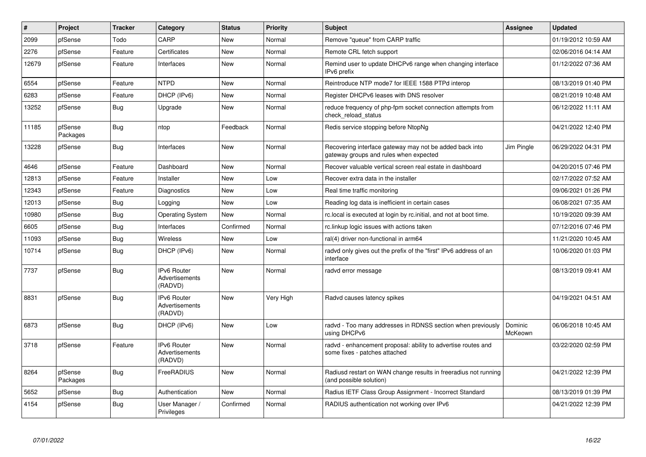| #     | Project             | <b>Tracker</b> | Category                                        | <b>Status</b> | <b>Priority</b> | <b>Subject</b>                                                                                    | Assignee           | <b>Updated</b>      |
|-------|---------------------|----------------|-------------------------------------------------|---------------|-----------------|---------------------------------------------------------------------------------------------------|--------------------|---------------------|
| 2099  | pfSense             | Todo           | CARP                                            | <b>New</b>    | Normal          | Remove "queue" from CARP traffic                                                                  |                    | 01/19/2012 10:59 AM |
| 2276  | pfSense             | Feature        | Certificates                                    | <b>New</b>    | Normal          | Remote CRL fetch support                                                                          |                    | 02/06/2016 04:14 AM |
| 12679 | pfSense             | Feature        | Interfaces                                      | New           | Normal          | Remind user to update DHCPv6 range when changing interface<br>IPv6 prefix                         |                    | 01/12/2022 07:36 AM |
| 6554  | pfSense             | Feature        | <b>NTPD</b>                                     | <b>New</b>    | Normal          | Reintroduce NTP mode7 for IEEE 1588 PTPd interop                                                  |                    | 08/13/2019 01:40 PM |
| 6283  | pfSense             | Feature        | DHCP (IPv6)                                     | New           | Normal          | Register DHCPv6 leases with DNS resolver                                                          |                    | 08/21/2019 10:48 AM |
| 13252 | pfSense             | <b>Bug</b>     | Upgrade                                         | New           | Normal          | reduce frequency of php-fpm socket connection attempts from<br>check reload status                |                    | 06/12/2022 11:11 AM |
| 11185 | pfSense<br>Packages | <b>Bug</b>     | ntop                                            | Feedback      | Normal          | Redis service stopping before NtopNg                                                              |                    | 04/21/2022 12:40 PM |
| 13228 | pfSense             | <b>Bug</b>     | Interfaces                                      | <b>New</b>    | Normal          | Recovering interface gateway may not be added back into<br>gateway groups and rules when expected | Jim Pingle         | 06/29/2022 04:31 PM |
| 4646  | pfSense             | Feature        | Dashboard                                       | New           | Normal          | Recover valuable vertical screen real estate in dashboard                                         |                    | 04/20/2015 07:46 PM |
| 12813 | pfSense             | Feature        | Installer                                       | <b>New</b>    | Low             | Recover extra data in the installer                                                               |                    | 02/17/2022 07:52 AM |
| 12343 | pfSense             | Feature        | Diagnostics                                     | New           | Low             | Real time traffic monitoring                                                                      |                    | 09/06/2021 01:26 PM |
| 12013 | pfSense             | <b>Bug</b>     | Logging                                         | New           | Low             | Reading log data is inefficient in certain cases                                                  |                    | 06/08/2021 07:35 AM |
| 10980 | pfSense             | <b>Bug</b>     | <b>Operating System</b>                         | New           | Normal          | rc.local is executed at login by rc.initial, and not at boot time.                                |                    | 10/19/2020 09:39 AM |
| 6605  | pfSense             | <b>Bug</b>     | Interfaces                                      | Confirmed     | Normal          | rc.linkup logic issues with actions taken                                                         |                    | 07/12/2016 07:46 PM |
| 11093 | pfSense             | <b>Bug</b>     | Wireless                                        | New           | Low             | ral(4) driver non-functional in arm64                                                             |                    | 11/21/2020 10:45 AM |
| 10714 | pfSense             | Bug            | DHCP (IPv6)                                     | New           | Normal          | radvd only gives out the prefix of the "first" IPv6 address of an<br>interface                    |                    | 10/06/2020 01:03 PM |
| 7737  | pfSense             | Bug            | IPv6 Router<br>Advertisements<br>(RADVD)        | New           | Normal          | radvd error message                                                                               |                    | 08/13/2019 09:41 AM |
| 8831  | pfSense             | <b>Bug</b>     | <b>IPv6 Router</b><br>Advertisements<br>(RADVD) | <b>New</b>    | Very High       | Radvd causes latency spikes                                                                       |                    | 04/19/2021 04:51 AM |
| 6873  | pfSense             | <b>Bug</b>     | DHCP (IPv6)                                     | <b>New</b>    | Low             | radvd - Too many addresses in RDNSS section when previously<br>using DHCPv6                       | Dominic<br>McKeown | 06/06/2018 10:45 AM |
| 3718  | pfSense             | Feature        | IPv6 Router<br>Advertisements<br>(RADVD)        | New           | Normal          | radvd - enhancement proposal: ability to advertise routes and<br>some fixes - patches attached    |                    | 03/22/2020 02:59 PM |
| 8264  | pfSense<br>Packages | <b>Bug</b>     | FreeRADIUS                                      | New           | Normal          | Radiusd restart on WAN change results in freeradius not running<br>(and possible solution)        |                    | 04/21/2022 12:39 PM |
| 5652  | pfSense             | <b>Bug</b>     | Authentication                                  | <b>New</b>    | Normal          | Radius IETF Class Group Assignment - Incorrect Standard                                           |                    | 08/13/2019 01:39 PM |
| 4154  | pfSense             | Bug            | User Manager /<br>Privileges                    | Confirmed     | Normal          | RADIUS authentication not working over IPv6                                                       |                    | 04/21/2022 12:39 PM |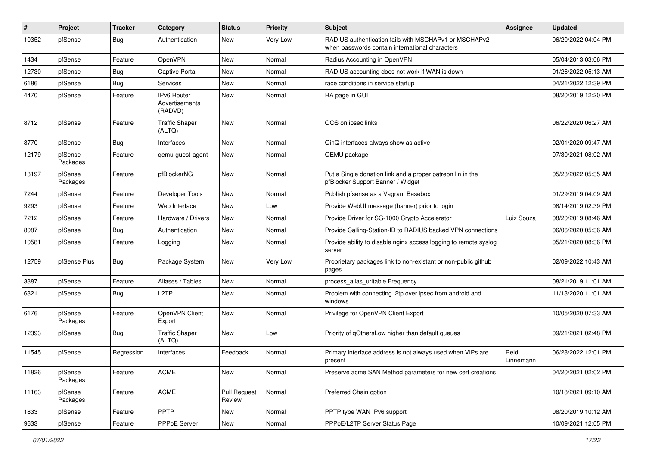| #     | Project             | <b>Tracker</b> | Category                                 | <b>Status</b>                 | <b>Priority</b> | <b>Subject</b>                                                                                           | Assignee          | <b>Updated</b>      |
|-------|---------------------|----------------|------------------------------------------|-------------------------------|-----------------|----------------------------------------------------------------------------------------------------------|-------------------|---------------------|
| 10352 | pfSense             | <b>Bug</b>     | Authentication                           | New                           | Very Low        | RADIUS authentication fails with MSCHAPv1 or MSCHAPv2<br>when passwords contain international characters |                   | 06/20/2022 04:04 PM |
| 1434  | pfSense             | Feature        | OpenVPN                                  | New                           | Normal          | Radius Accounting in OpenVPN                                                                             |                   | 05/04/2013 03:06 PM |
| 12730 | pfSense             | <b>Bug</b>     | <b>Captive Portal</b>                    | New                           | Normal          | RADIUS accounting does not work if WAN is down                                                           |                   | 01/26/2022 05:13 AM |
| 6186  | pfSense             | <b>Bug</b>     | Services                                 | <b>New</b>                    | Normal          | race conditions in service startup                                                                       |                   | 04/21/2022 12:39 PM |
| 4470  | pfSense             | Feature        | IPv6 Router<br>Advertisements<br>(RADVD) | New                           | Normal          | RA page in GUI                                                                                           |                   | 08/20/2019 12:20 PM |
| 8712  | pfSense             | Feature        | <b>Traffic Shaper</b><br>(ALTQ)          | <b>New</b>                    | Normal          | QOS on ipsec links                                                                                       |                   | 06/22/2020 06:27 AM |
| 8770  | pfSense             | Bug            | Interfaces                               | <b>New</b>                    | Normal          | QinQ interfaces always show as active                                                                    |                   | 02/01/2020 09:47 AM |
| 12179 | pfSense<br>Packages | Feature        | qemu-guest-agent                         | New                           | Normal          | QEMU package                                                                                             |                   | 07/30/2021 08:02 AM |
| 13197 | pfSense<br>Packages | Feature        | pfBlockerNG                              | <b>New</b>                    | Normal          | Put a Single donation link and a proper patreon lin in the<br>pfBlocker Support Banner / Widget          |                   | 05/23/2022 05:35 AM |
| 7244  | pfSense             | Feature        | Developer Tools                          | New                           | Normal          | Publish pfsense as a Vagrant Basebox                                                                     |                   | 01/29/2019 04:09 AM |
| 9293  | pfSense             | Feature        | Web Interface                            | New                           | Low             | Provide WebUI message (banner) prior to login                                                            |                   | 08/14/2019 02:39 PM |
| 7212  | pfSense             | Feature        | Hardware / Drivers                       | <b>New</b>                    | Normal          | Provide Driver for SG-1000 Crypto Accelerator                                                            | Luiz Souza        | 08/20/2019 08:46 AM |
| 8087  | pfSense             | Bug            | Authentication                           | New                           | Normal          | Provide Calling-Station-ID to RADIUS backed VPN connections                                              |                   | 06/06/2020 05:36 AM |
| 10581 | pfSense             | Feature        | Logging                                  | New                           | Normal          | Provide ability to disable nginx access logging to remote syslog<br>server                               |                   | 05/21/2020 08:36 PM |
| 12759 | pfSense Plus        | <b>Bug</b>     | Package System                           | <b>New</b>                    | Very Low        | Proprietary packages link to non-existant or non-public github<br>pages                                  |                   | 02/09/2022 10:43 AM |
| 3387  | pfSense             | Feature        | Aliases / Tables                         | <b>New</b>                    | Normal          | process_alias_urltable Frequency                                                                         |                   | 08/21/2019 11:01 AM |
| 6321  | pfSense             | Bug            | L <sub>2</sub> TP                        | New                           | Normal          | Problem with connecting I2tp over ipsec from android and<br>windows                                      |                   | 11/13/2020 11:01 AM |
| 6176  | pfSense<br>Packages | Feature        | OpenVPN Client<br>Export                 | <b>New</b>                    | Normal          | Privilege for OpenVPN Client Export                                                                      |                   | 10/05/2020 07:33 AM |
| 12393 | pfSense             | <b>Bug</b>     | <b>Traffic Shaper</b><br>(ALTQ)          | <b>New</b>                    | Low             | Priority of gOthersLow higher than default queues                                                        |                   | 09/21/2021 02:48 PM |
| 11545 | pfSense             | Regression     | Interfaces                               | Feedback                      | Normal          | Primary interface address is not always used when VIPs are<br>present                                    | Reid<br>Linnemann | 06/28/2022 12:01 PM |
| 11826 | pfSense<br>Packages | Feature        | <b>ACME</b>                              | New                           | Normal          | Preserve acme SAN Method parameters for new cert creations                                               |                   | 04/20/2021 02:02 PM |
| 11163 | pfSense<br>Packages | Feature        | ACME                                     | <b>Pull Request</b><br>Review | Normal          | Preferred Chain option                                                                                   |                   | 10/18/2021 09:10 AM |
| 1833  | pfSense             | Feature        | <b>PPTP</b>                              | New                           | Normal          | PPTP type WAN IPv6 support                                                                               |                   | 08/20/2019 10:12 AM |
| 9633  | pfSense             | Feature        | PPPoE Server                             | New                           | Normal          | PPPoE/L2TP Server Status Page                                                                            |                   | 10/09/2021 12:05 PM |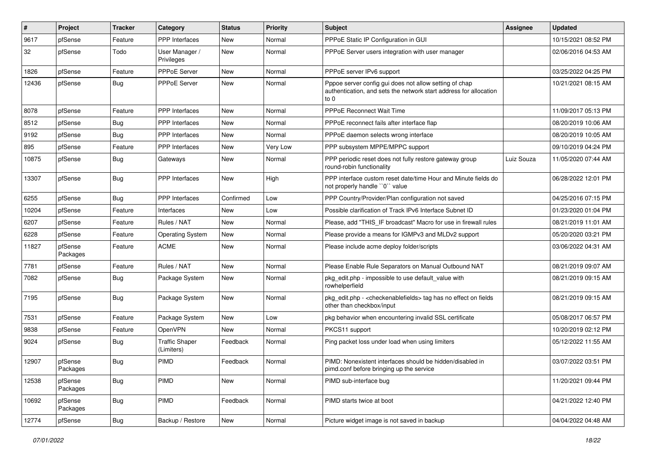| ∦     | Project             | <b>Tracker</b> | Category                            | <b>Status</b> | Priority | <b>Subject</b>                                                                                                                      | <b>Assignee</b> | <b>Updated</b>      |
|-------|---------------------|----------------|-------------------------------------|---------------|----------|-------------------------------------------------------------------------------------------------------------------------------------|-----------------|---------------------|
| 9617  | pfSense             | Feature        | PPP Interfaces                      | New           | Normal   | PPPoE Static IP Configuration in GUI                                                                                                |                 | 10/15/2021 08:52 PM |
| 32    | pfSense             | Todo           | User Manager /<br>Privileges        | <b>New</b>    | Normal   | PPPoE Server users integration with user manager                                                                                    |                 | 02/06/2016 04:53 AM |
| 1826  | pfSense             | Feature        | PPPoE Server                        | <b>New</b>    | Normal   | PPPoE server IPv6 support                                                                                                           |                 | 03/25/2022 04:25 PM |
| 12436 | pfSense             | Bug            | PPPoE Server                        | <b>New</b>    | Normal   | Pppoe server config gui does not allow setting of chap<br>authentication, and sets the network start address for allocation<br>to 0 |                 | 10/21/2021 08:15 AM |
| 8078  | pfSense             | Feature        | <b>PPP</b> Interfaces               | <b>New</b>    | Normal   | <b>PPPoE Reconnect Wait Time</b>                                                                                                    |                 | 11/09/2017 05:13 PM |
| 8512  | pfSense             | Bug            | PPP Interfaces                      | <b>New</b>    | Normal   | PPPoE reconnect fails after interface flap                                                                                          |                 | 08/20/2019 10:06 AM |
| 9192  | pfSense             | Bug            | PPP Interfaces                      | <b>New</b>    | Normal   | PPPoE daemon selects wrong interface                                                                                                |                 | 08/20/2019 10:05 AM |
| 895   | pfSense             | Feature        | <b>PPP</b> Interfaces               | New           | Very Low | PPP subsystem MPPE/MPPC support                                                                                                     |                 | 09/10/2019 04:24 PM |
| 10875 | pfSense             | Bug            | Gateways                            | New           | Normal   | PPP periodic reset does not fully restore gateway group<br>round-robin functionality                                                | Luiz Souza      | 11/05/2020 07:44 AM |
| 13307 | pfSense             | Bug            | <b>PPP</b> Interfaces               | New           | High     | PPP interface custom reset date/time Hour and Minute fields do<br>not properly handle "0" value                                     |                 | 06/28/2022 12:01 PM |
| 6255  | pfSense             | <b>Bug</b>     | PPP Interfaces                      | Confirmed     | Low      | PPP Country/Provider/Plan configuration not saved                                                                                   |                 | 04/25/2016 07:15 PM |
| 10204 | pfSense             | Feature        | Interfaces                          | New           | Low      | Possible clarification of Track IPv6 Interface Subnet ID                                                                            |                 | 01/23/2020 01:04 PM |
| 6207  | pfSense             | Feature        | Rules / NAT                         | <b>New</b>    | Normal   | Please, add "THIS_IF broadcast" Macro for use in firewall rules                                                                     |                 | 08/21/2019 11:01 AM |
| 6228  | pfSense             | Feature        | <b>Operating System</b>             | New           | Normal   | Please provide a means for IGMPv3 and MLDv2 support                                                                                 |                 | 05/20/2020 03:21 PM |
| 11827 | pfSense<br>Packages | Feature        | <b>ACME</b>                         | New           | Normal   | Please include acme deploy folder/scripts                                                                                           |                 | 03/06/2022 04:31 AM |
| 7781  | pfSense             | Feature        | Rules / NAT                         | <b>New</b>    | Normal   | Please Enable Rule Separators on Manual Outbound NAT                                                                                |                 | 08/21/2019 09:07 AM |
| 7082  | pfSense             | Bug            | Package System                      | New           | Normal   | pkg_edit.php - impossible to use default_value with<br>rowhelperfield                                                               |                 | 08/21/2019 09:15 AM |
| 7195  | pfSense             | Bug            | Package System                      | New           | Normal   | pkg_edit.php - <checkenablefields> tag has no effect on fields<br/>other than checkbox/input</checkenablefields>                    |                 | 08/21/2019 09:15 AM |
| 7531  | pfSense             | Feature        | Package System                      | New           | Low      | pkg behavior when encountering invalid SSL certificate                                                                              |                 | 05/08/2017 06:57 PM |
| 9838  | pfSense             | Feature        | OpenVPN                             | <b>New</b>    | Normal   | PKCS11 support                                                                                                                      |                 | 10/20/2019 02:12 PM |
| 9024  | pfSense             | <b>Bug</b>     | <b>Traffic Shaper</b><br>(Limiters) | Feedback      | Normal   | Ping packet loss under load when using limiters                                                                                     |                 | 05/12/2022 11:55 AM |
| 12907 | pfSense<br>Packages | Bug            | <b>PIMD</b>                         | Feedback      | Normal   | PIMD: Nonexistent interfaces should be hidden/disabled in<br>pimd.conf before bringing up the service                               |                 | 03/07/2022 03:51 PM |
| 12538 | pfSense<br>Packages | Bug            | PIMD                                | New           | Normal   | PIMD sub-interface bug                                                                                                              |                 | 11/20/2021 09:44 PM |
| 10692 | pfSense<br>Packages | <b>Bug</b>     | PIMD                                | Feedback      | Normal   | PIMD starts twice at boot                                                                                                           |                 | 04/21/2022 12:40 PM |
| 12774 | pfSense             | <b>Bug</b>     | Backup / Restore                    | New           | Normal   | Picture widget image is not saved in backup                                                                                         |                 | 04/04/2022 04:48 AM |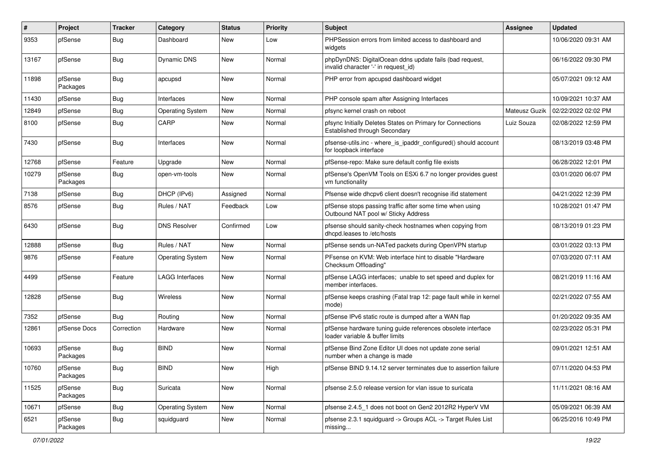| #     | Project             | <b>Tracker</b> | Category                | <b>Status</b> | Priority | Subject                                                                                         | <b>Assignee</b> | <b>Updated</b>      |
|-------|---------------------|----------------|-------------------------|---------------|----------|-------------------------------------------------------------------------------------------------|-----------------|---------------------|
| 9353  | pfSense             | Bug            | Dashboard               | New           | Low      | PHPSession errors from limited access to dashboard and<br>widgets                               |                 | 10/06/2020 09:31 AM |
| 13167 | pfSense             | Bug            | Dynamic DNS             | <b>New</b>    | Normal   | phpDynDNS: DigitalOcean ddns update fails (bad request,<br>invalid character '-' in request_id) |                 | 06/16/2022 09:30 PM |
| 11898 | pfSense<br>Packages | Bug            | apcupsd                 | <b>New</b>    | Normal   | PHP error from apcupsd dashboard widget                                                         |                 | 05/07/2021 09:12 AM |
| 11430 | pfSense             | Bug            | Interfaces              | New           | Normal   | PHP console spam after Assigning Interfaces                                                     |                 | 10/09/2021 10:37 AM |
| 12849 | pfSense             | Bug            | <b>Operating System</b> | New           | Normal   | pfsync kernel crash on reboot                                                                   | Mateusz Guzik   | 02/22/2022 02:02 PM |
| 8100  | pfSense             | Bug            | CARP                    | New           | Normal   | pfsync Initially Deletes States on Primary for Connections<br>Established through Secondary     | Luiz Souza      | 02/08/2022 12:59 PM |
| 7430  | pfSense             | Bug            | Interfaces              | <b>New</b>    | Normal   | pfsense-utils.inc - where_is_ipaddr_configured() should account<br>for loopback interface       |                 | 08/13/2019 03:48 PM |
| 12768 | pfSense             | Feature        | Upgrade                 | <b>New</b>    | Normal   | pfSense-repo: Make sure default config file exists                                              |                 | 06/28/2022 12:01 PM |
| 10279 | pfSense<br>Packages | Bug            | open-vm-tools           | New           | Normal   | pfSense's OpenVM Tools on ESXi 6.7 no longer provides guest<br>vm functionality                 |                 | 03/01/2020 06:07 PM |
| 7138  | pfSense             | Bug            | DHCP (IPv6)             | Assigned      | Normal   | Pfsense wide dhcpv6 client doesn't recognise ifid statement                                     |                 | 04/21/2022 12:39 PM |
| 8576  | pfSense             | Bug            | Rules / NAT             | Feedback      | Low      | pfSense stops passing traffic after some time when using<br>Outbound NAT pool w/ Sticky Address |                 | 10/28/2021 01:47 PM |
| 6430  | pfSense             | Bug            | <b>DNS Resolver</b>     | Confirmed     | Low      | pfsense should sanity-check hostnames when copying from<br>dhcpd.leases to /etc/hosts           |                 | 08/13/2019 01:23 PM |
| 12888 | pfSense             | Bug            | Rules / NAT             | <b>New</b>    | Normal   | pfSense sends un-NATed packets during OpenVPN startup                                           |                 | 03/01/2022 03:13 PM |
| 9876  | pfSense             | Feature        | <b>Operating System</b> | New           | Normal   | PFsense on KVM: Web interface hint to disable "Hardware<br>Checksum Offloading"                 |                 | 07/03/2020 07:11 AM |
| 4499  | pfSense             | Feature        | <b>LAGG Interfaces</b>  | New           | Normal   | pfSense LAGG interfaces; unable to set speed and duplex for<br>member interfaces.               |                 | 08/21/2019 11:16 AM |
| 12828 | pfSense             | Bug            | Wireless                | <b>New</b>    | Normal   | pfSense keeps crashing (Fatal trap 12: page fault while in kernel<br>mode)                      |                 | 02/21/2022 07:55 AM |
| 7352  | pfSense             | Bug            | Routing                 | New           | Normal   | pfSense IPv6 static route is dumped after a WAN flap                                            |                 | 01/20/2022 09:35 AM |
| 12861 | pfSense Docs        | Correction     | Hardware                | New           | Normal   | pfSense hardware tuning guide references obsolete interface<br>loader variable & buffer limits  |                 | 02/23/2022 05:31 PM |
| 10693 | pfSense<br>Packages | Bug            | <b>BIND</b>             | New           | Normal   | pfSense Bind Zone Editor UI does not update zone serial<br>number when a change is made         |                 | 09/01/2021 12:51 AM |
| 10760 | pfSense<br>Packages | <b>Bug</b>     | <b>BIND</b>             | New           | High     | pfSense BIND 9.14.12 server terminates due to assertion failure                                 |                 | 07/11/2020 04:53 PM |
| 11525 | pfSense<br>Packages | Bug            | Suricata                | New           | Normal   | pfsense 2.5.0 release version for vlan issue to suricata                                        |                 | 11/11/2021 08:16 AM |
| 10671 | pfSense             | Bug            | <b>Operating System</b> | New           | Normal   | pfsense 2.4.5_1 does not boot on Gen2 2012R2 HyperV VM                                          |                 | 05/09/2021 06:39 AM |
| 6521  | pfSense<br>Packages | Bug            | squidguard              | New           | Normal   | pfsense 2.3.1 squidguard -> Groups ACL -> Target Rules List<br>missing                          |                 | 06/25/2016 10:49 PM |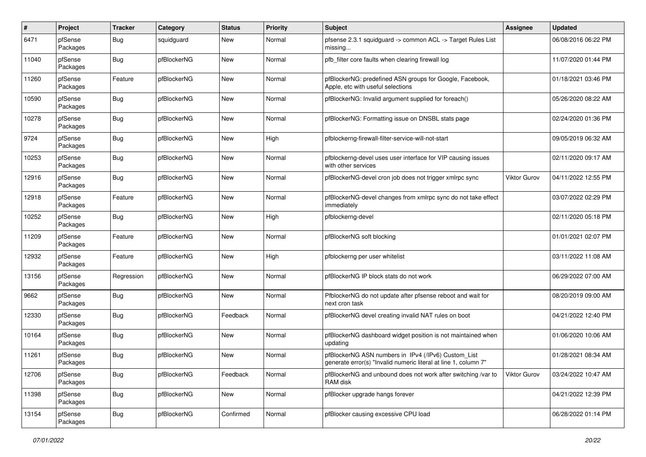| $\#$  | Project             | <b>Tracker</b> | Category    | <b>Status</b> | Priority | <b>Subject</b>                                                                                                         | <b>Assignee</b>     | <b>Updated</b>      |
|-------|---------------------|----------------|-------------|---------------|----------|------------------------------------------------------------------------------------------------------------------------|---------------------|---------------------|
| 6471  | pfSense<br>Packages | <b>Bug</b>     | squidguard  | New           | Normal   | pfsense 2.3.1 squidguard -> common ACL -> Target Rules List<br>missing                                                 |                     | 06/08/2016 06:22 PM |
| 11040 | pfSense<br>Packages | <b>Bug</b>     | pfBlockerNG | New           | Normal   | pfb_filter core faults when clearing firewall log                                                                      |                     | 11/07/2020 01:44 PM |
| 11260 | pfSense<br>Packages | Feature        | pfBlockerNG | New           | Normal   | pfBlockerNG: predefined ASN groups for Google, Facebook,<br>Apple, etc with useful selections                          |                     | 01/18/2021 03:46 PM |
| 10590 | pfSense<br>Packages | <b>Bug</b>     | pfBlockerNG | New           | Normal   | pfBlockerNG: Invalid argument supplied for foreach()                                                                   |                     | 05/26/2020 08:22 AM |
| 10278 | pfSense<br>Packages | <b>Bug</b>     | pfBlockerNG | New           | Normal   | pfBlockerNG: Formatting issue on DNSBL stats page                                                                      |                     | 02/24/2020 01:36 PM |
| 9724  | pfSense<br>Packages | <b>Bug</b>     | pfBlockerNG | New           | High     | pfblockerng-firewall-filter-service-will-not-start                                                                     |                     | 09/05/2019 06:32 AM |
| 10253 | pfSense<br>Packages | <b>Bug</b>     | pfBlockerNG | New           | Normal   | pfblockerng-devel uses user interface for VIP causing issues<br>with other services                                    |                     | 02/11/2020 09:17 AM |
| 12916 | pfSense<br>Packages | <b>Bug</b>     | pfBlockerNG | New           | Normal   | pfBlockerNG-devel cron job does not trigger xmlrpc sync                                                                | <b>Viktor Gurov</b> | 04/11/2022 12:55 PM |
| 12918 | pfSense<br>Packages | Feature        | pfBlockerNG | New           | Normal   | pfBlockerNG-devel changes from xmlrpc sync do not take effect<br>immediately                                           |                     | 03/07/2022 02:29 PM |
| 10252 | pfSense<br>Packages | Bug            | pfBlockerNG | New           | High     | pfblockerng-devel                                                                                                      |                     | 02/11/2020 05:18 PM |
| 11209 | pfSense<br>Packages | Feature        | pfBlockerNG | New           | Normal   | pfBlockerNG soft blocking                                                                                              |                     | 01/01/2021 02:07 PM |
| 12932 | pfSense<br>Packages | Feature        | pfBlockerNG | New           | High     | pfblockerng per user whitelist                                                                                         |                     | 03/11/2022 11:08 AM |
| 13156 | pfSense<br>Packages | Regression     | pfBlockerNG | New           | Normal   | pfBlockerNG IP block stats do not work                                                                                 |                     | 06/29/2022 07:00 AM |
| 9662  | pfSense<br>Packages | <b>Bug</b>     | pfBlockerNG | New           | Normal   | PfblockerNG do not update after pfsense reboot and wait for<br>next cron task                                          |                     | 08/20/2019 09:00 AM |
| 12330 | pfSense<br>Packages | <b>Bug</b>     | pfBlockerNG | Feedback      | Normal   | pfBlockerNG devel creating invalid NAT rules on boot                                                                   |                     | 04/21/2022 12:40 PM |
| 10164 | pfSense<br>Packages | <b>Bug</b>     | pfBlockerNG | New           | Normal   | pfBlockerNG dashboard widget position is not maintained when<br>updating                                               |                     | 01/06/2020 10:06 AM |
| 11261 | pfSense<br>Packages | Bug            | pfBlockerNG | <b>New</b>    | Normal   | pfBlockerNG ASN numbers in IPv4 (/IPv6) Custom_List<br>generate error(s) "Invalid numeric literal at line 1, column 7" |                     | 01/28/2021 08:34 AM |
| 12706 | pfSense<br>Packages | Bug            | pfBlockerNG | Feedback      | Normal   | pfBlockerNG and unbound does not work after switching /var to<br>RAM disk                                              | Viktor Gurov        | 03/24/2022 10:47 AM |
| 11398 | pfSense<br>Packages | <b>Bug</b>     | pfBlockerNG | New           | Normal   | pfBlocker upgrade hangs forever                                                                                        |                     | 04/21/2022 12:39 PM |
| 13154 | pfSense<br>Packages | Bug            | pfBlockerNG | Confirmed     | Normal   | pfBlocker causing excessive CPU load                                                                                   |                     | 06/28/2022 01:14 PM |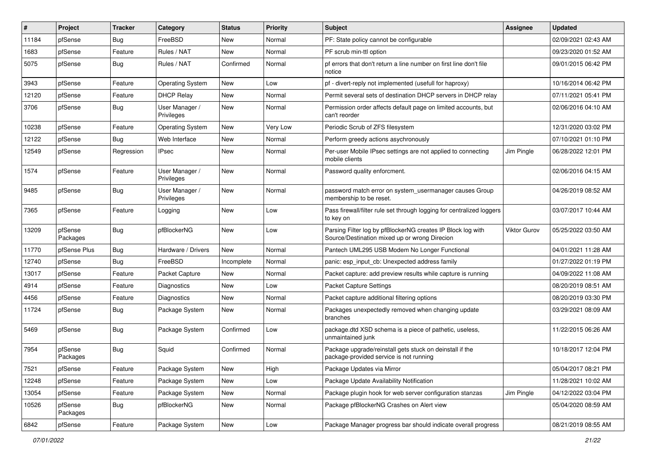| $\vert$ # | Project             | Tracker    | Category                     | <b>Status</b> | Priority | Subject                                                                                                      | <b>Assignee</b>     | <b>Updated</b>      |
|-----------|---------------------|------------|------------------------------|---------------|----------|--------------------------------------------------------------------------------------------------------------|---------------------|---------------------|
| 11184     | pfSense             | <b>Bug</b> | FreeBSD                      | New           | Normal   | PF: State policy cannot be configurable                                                                      |                     | 02/09/2021 02:43 AM |
| 1683      | pfSense             | Feature    | Rules / NAT                  | New           | Normal   | PF scrub min-ttl option                                                                                      |                     | 09/23/2020 01:52 AM |
| 5075      | pfSense             | Bug        | Rules / NAT                  | Confirmed     | Normal   | pf errors that don't return a line number on first line don't file<br>notice                                 |                     | 09/01/2015 06:42 PM |
| 3943      | pfSense             | Feature    | <b>Operating System</b>      | New           | Low      | pf - divert-reply not implemented (usefull for haproxy)                                                      |                     | 10/16/2014 06:42 PM |
| 12120     | pfSense             | Feature    | <b>DHCP Relay</b>            | New           | Normal   | Permit several sets of destination DHCP servers in DHCP relay                                                |                     | 07/11/2021 05:41 PM |
| 3706      | pfSense             | <b>Bug</b> | User Manager /<br>Privileges | New           | Normal   | Permission order affects default page on limited accounts, but<br>can't reorder                              |                     | 02/06/2016 04:10 AM |
| 10238     | pfSense             | Feature    | <b>Operating System</b>      | New           | Very Low | Periodic Scrub of ZFS filesystem                                                                             |                     | 12/31/2020 03:02 PM |
| 12122     | pfSense             | <b>Bug</b> | Web Interface                | New           | Normal   | Perform greedy actions asychronously                                                                         |                     | 07/10/2021 01:10 PM |
| 12549     | pfSense             | Regression | <b>IPsec</b>                 | New           | Normal   | Per-user Mobile IPsec settings are not applied to connecting<br>mobile clients                               | Jim Pingle          | 06/28/2022 12:01 PM |
| 1574      | pfSense             | Feature    | User Manager /<br>Privileges | New           | Normal   | Password quality enforcment.                                                                                 |                     | 02/06/2016 04:15 AM |
| 9485      | pfSense             | Bug        | User Manager /<br>Privileges | New           | Normal   | password match error on system_usermanager causes Group<br>membership to be reset.                           |                     | 04/26/2019 08:52 AM |
| 7365      | pfSense             | Feature    | Logging                      | New           | Low      | Pass firewall/filter rule set through logging for centralized loggers<br>to key on                           |                     | 03/07/2017 10:44 AM |
| 13209     | pfSense<br>Packages | <b>Bug</b> | pfBlockerNG                  | New           | Low      | Parsing Filter log by pfBlockerNG creates IP Block log with<br>Source/Destination mixed up or wrong Direcion | <b>Viktor Gurov</b> | 05/25/2022 03:50 AM |
| 11770     | pfSense Plus        | <b>Bug</b> | Hardware / Drivers           | <b>New</b>    | Normal   | Pantech UML295 USB Modem No Longer Functional                                                                |                     | 04/01/2021 11:28 AM |
| 12740     | pfSense             | <b>Bug</b> | FreeBSD                      | Incomplete    | Normal   | panic: esp input cb: Unexpected address family                                                               |                     | 01/27/2022 01:19 PM |
| 13017     | pfSense             | Feature    | Packet Capture               | New           | Normal   | Packet capture: add preview results while capture is running                                                 |                     | 04/09/2022 11:08 AM |
| 4914      | pfSense             | Feature    | Diagnostics                  | <b>New</b>    | Low      | Packet Capture Settings                                                                                      |                     | 08/20/2019 08:51 AM |
| 4456      | pfSense             | Feature    | Diagnostics                  | New           | Normal   | Packet capture additional filtering options                                                                  |                     | 08/20/2019 03:30 PM |
| 11724     | pfSense             | Bug        | Package System               | New           | Normal   | Packages unexpectedly removed when changing update<br>branches                                               |                     | 03/29/2021 08:09 AM |
| 5469      | pfSense             | <b>Bug</b> | Package System               | Confirmed     | Low      | package.dtd XSD schema is a piece of pathetic, useless,<br>unmaintained junk                                 |                     | 11/22/2015 06:26 AM |
| 7954      | pfSense<br>Packages | <b>Bug</b> | Squid                        | Confirmed     | Normal   | Package upgrade/reinstall gets stuck on deinstall if the<br>package-provided service is not running          |                     | 10/18/2017 12:04 PM |
| 7521      | pfSense             | Feature    | Package System               | New           | High     | Package Updates via Mirror                                                                                   |                     | 05/04/2017 08:21 PM |
| 12248     | pfSense             | Feature    | Package System               | New           | Low      | Package Update Availability Notification                                                                     |                     | 11/28/2021 10:02 AM |
| 13054     | pfSense             | Feature    | Package System               | New           | Normal   | Package plugin hook for web server configuration stanzas                                                     | Jim Pingle          | 04/12/2022 03:04 PM |
| 10526     | pfSense<br>Packages | <b>Bug</b> | pfBlockerNG                  | New           | Normal   | Package pfBlockerNG Crashes on Alert view                                                                    |                     | 05/04/2020 08:59 AM |
| 6842      | pfSense             | Feature    | Package System               | New           | Low      | Package Manager progress bar should indicate overall progress                                                |                     | 08/21/2019 08:55 AM |